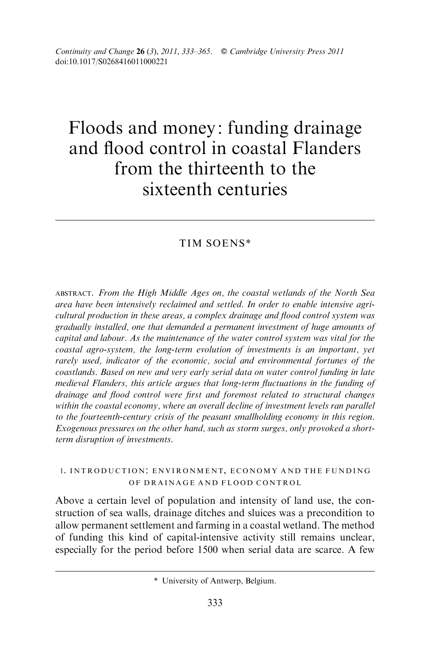# Floods and money: funding drainage and flood control in coastal Flanders from the thirteenth to the sixteenth centuries

# TIM SOENS\*

ABSTRACT. From the High Middle Ages on, the coastal wetlands of the North Sea area have been intensively reclaimed and settled. In order to enable intensive agricultural production in these areas, a complex drainage and flood control system was gradually installed, one that demanded a permanent investment of huge amounts of capital and labour. As the maintenance of the water control system was vital for the coastal agro-system, the long-term evolution of investments is an important, yet rarely used, indicator of the economic, social and environmental fortunes of the coastlands. Based on new and very early serial data on water control funding in late medieval Flanders, this article argues that long-term fluctuations in the funding of drainage and flood control were first and foremost related to structural changes within the coastal economy, where an overall decline of investment levels ran parallel to the fourteenth-century crisis of the peasant smallholding economy in this region. Exogenous pressures on the other hand, such as storm surges, only provoked a shortterm disruption of investments.

# 1. INTRODUCTION: ENVIRONMENT, ECONOMY AND THE FUNDING OF DRAINAGE AND FLOOD CONTROL

Above a certain level of population and intensity of land use, the construction of sea walls, drainage ditches and sluices was a precondition to allow permanent settlement and farming in a coastal wetland. The method of funding this kind of capital-intensive activity still remains unclear, especially for the period before 1500 when serial data are scarce. A few

<sup>\*</sup> University of Antwerp, Belgium.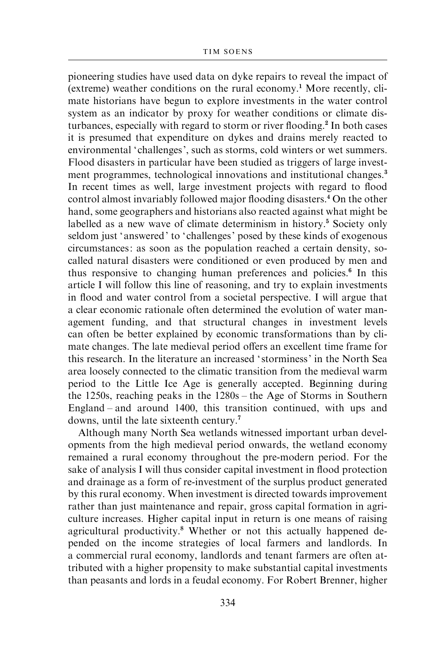pioneering studies have used data on dyke repairs to reveal the impact of  $(\text{extreme})$  weather conditions on the rural economy.<sup>1</sup> More recently, climate historians have begun to explore investments in the water control system as an indicator by proxy for weather conditions or climate disturbances, especially with regard to storm or river flooding.<sup>2</sup> In both cases it is presumed that expenditure on dykes and drains merely reacted to environmental 'challenges', such as storms, cold winters or wet summers. Flood disasters in particular have been studied as triggers of large investment programmes, technological innovations and institutional changes.<sup>3</sup> In recent times as well, large investment projects with regard to flood control almost invariably followed major flooding disasters.<sup>4</sup> On the other hand, some geographers and historians also reacted against what might be labelled as a new wave of climate determinism in history.<sup>5</sup> Society only seldom just 'answered' to 'challenges' posed by these kinds of exogenous circumstances: as soon as the population reached a certain density, socalled natural disasters were conditioned or even produced by men and thus responsive to changing human preferences and policies.<sup>6</sup> In this article I will follow this line of reasoning, and try to explain investments in flood and water control from a societal perspective. I will argue that a clear economic rationale often determined the evolution of water management funding, and that structural changes in investment levels can often be better explained by economic transformations than by climate changes. The late medieval period offers an excellent time frame for this research. In the literature an increased ' storminess' in the North Sea area loosely connected to the climatic transition from the medieval warm period to the Little Ice Age is generally accepted. Beginning during the 1250s, reaching peaks in the 1280s – the Age of Storms in Southern England – and around 1400, this transition continued, with ups and downs, until the late sixteenth century.<sup>7</sup>

Although many North Sea wetlands witnessed important urban developments from the high medieval period onwards, the wetland economy remained a rural economy throughout the pre-modern period. For the sake of analysis I will thus consider capital investment in flood protection and drainage as a form of re-investment of the surplus product generated by this rural economy. When investment is directed towards improvement rather than just maintenance and repair, gross capital formation in agriculture increases. Higher capital input in return is one means of raising agricultural productivity.<sup>8</sup> Whether or not this actually happened depended on the income strategies of local farmers and landlords. In a commercial rural economy, landlords and tenant farmers are often attributed with a higher propensity to make substantial capital investments than peasants and lords in a feudal economy. For Robert Brenner, higher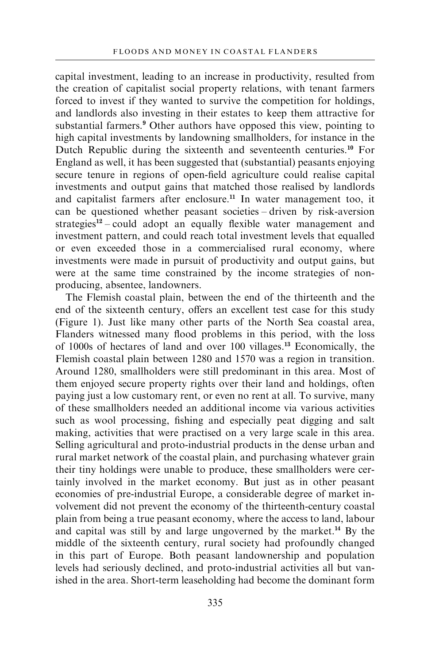capital investment, leading to an increase in productivity, resulted from the creation of capitalist social property relations, with tenant farmers forced to invest if they wanted to survive the competition for holdings, and landlords also investing in their estates to keep them attractive for substantial farmers.<sup>9</sup> Other authors have opposed this view, pointing to high capital investments by landowning smallholders, for instance in the Dutch Republic during the sixteenth and seventeenth centuries.<sup>10</sup> For England as well, it has been suggested that (substantial) peasants enjoying secure tenure in regions of open-field agriculture could realise capital investments and output gains that matched those realised by landlords and capitalist farmers after enclosure.<sup>11</sup> In water management too, it can be questioned whether peasant societies – driven by risk-aversion strategies $12$  – could adopt an equally flexible water management and investment pattern, and could reach total investment levels that equalled or even exceeded those in a commercialised rural economy, where investments were made in pursuit of productivity and output gains, but were at the same time constrained by the income strategies of nonproducing, absentee, landowners.

The Flemish coastal plain, between the end of the thirteenth and the end of the sixteenth century, offers an excellent test case for this study (Figure 1). Just like many other parts of the North Sea coastal area, Flanders witnessed many flood problems in this period, with the loss of 1000s of hectares of land and over 100 villages.<sup>13</sup> Economically, the Flemish coastal plain between 1280 and 1570 was a region in transition. Around 1280, smallholders were still predominant in this area. Most of them enjoyed secure property rights over their land and holdings, often paying just a low customary rent, or even no rent at all. To survive, many of these smallholders needed an additional income via various activities such as wool processing, fishing and especially peat digging and salt making, activities that were practised on a very large scale in this area. Selling agricultural and proto-industrial products in the dense urban and rural market network of the coastal plain, and purchasing whatever grain their tiny holdings were unable to produce, these smallholders were certainly involved in the market economy. But just as in other peasant economies of pre-industrial Europe, a considerable degree of market involvement did not prevent the economy of the thirteenth-century coastal plain from being a true peasant economy, where the access to land, labour and capital was still by and large ungoverned by the market.<sup>14</sup> By the middle of the sixteenth century, rural society had profoundly changed in this part of Europe. Both peasant landownership and population levels had seriously declined, and proto-industrial activities all but vanished in the area. Short-term leaseholding had become the dominant form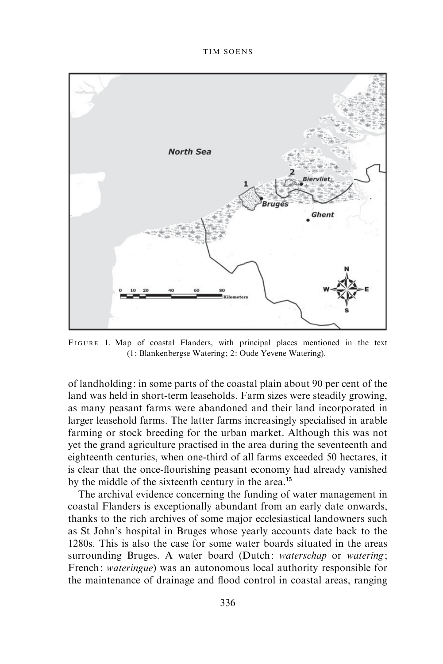

FIGURE 1. Map of coastal Flanders, with principal places mentioned in the text (1: Blankenbergse Watering; 2: Oude Yevene Watering).

of landholding: in some parts of the coastal plain about 90 per cent of the land was held in short-term leaseholds. Farm sizes were steadily growing, as many peasant farms were abandoned and their land incorporated in larger leasehold farms. The latter farms increasingly specialised in arable farming or stock breeding for the urban market. Although this was not yet the grand agriculture practised in the area during the seventeenth and eighteenth centuries, when one-third of all farms exceeded 50 hectares, it is clear that the once-flourishing peasant economy had already vanished by the middle of the sixteenth century in the area.<sup>15</sup>

The archival evidence concerning the funding of water management in coastal Flanders is exceptionally abundant from an early date onwards, thanks to the rich archives of some major ecclesiastical landowners such as St John's hospital in Bruges whose yearly accounts date back to the 1280s. This is also the case for some water boards situated in the areas surrounding Bruges. A water board (Dutch: waterschap or watering; French: wateringue) was an autonomous local authority responsible for the maintenance of drainage and flood control in coastal areas, ranging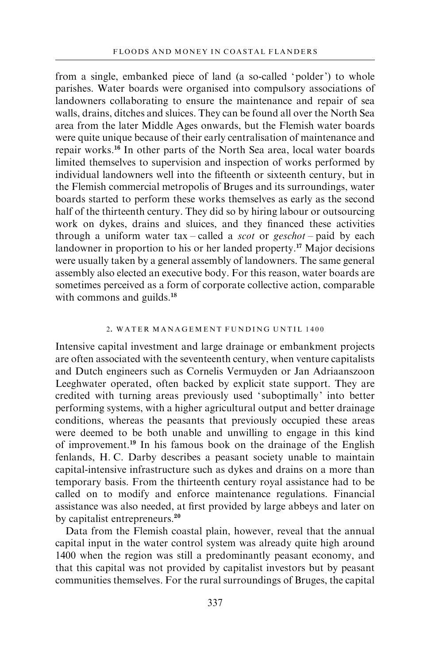from a single, embanked piece of land (a so-called 'polder') to whole parishes. Water boards were organised into compulsory associations of landowners collaborating to ensure the maintenance and repair of sea walls, drains, ditches and sluices. They can be found all over the North Sea area from the later Middle Ages onwards, but the Flemish water boards were quite unique because of their early centralisation of maintenance and repair works.<sup>16</sup> In other parts of the North Sea area, local water boards limited themselves to supervision and inspection of works performed by individual landowners well into the fifteenth or sixteenth century, but in the Flemish commercial metropolis of Bruges and its surroundings, water boards started to perform these works themselves as early as the second half of the thirteenth century. They did so by hiring labour or outsourcing work on dykes, drains and sluices, and they financed these activities through a uniform water  $tax$  – called a *scot* or *geschot* – paid by each landowner in proportion to his or her landed property.<sup>17</sup> Major decisions were usually taken by a general assembly of landowners. The same general assembly also elected an executive body. For this reason, water boards are sometimes perceived as a form of corporate collective action, comparable with commons and guilds.<sup>18</sup>

#### 2. WATER MANAGEMENT FUNDING UNTIL 1400

Intensive capital investment and large drainage or embankment projects are often associated with the seventeenth century, when venture capitalists and Dutch engineers such as Cornelis Vermuyden or Jan Adriaanszoon Leeghwater operated, often backed by explicit state support. They are credited with turning areas previously used ' suboptimally' into better performing systems, with a higher agricultural output and better drainage conditions, whereas the peasants that previously occupied these areas were deemed to be both unable and unwilling to engage in this kind of improvement.<sup>19</sup> In his famous book on the drainage of the English fenlands, H. C. Darby describes a peasant society unable to maintain capital-intensive infrastructure such as dykes and drains on a more than temporary basis. From the thirteenth century royal assistance had to be called on to modify and enforce maintenance regulations. Financial assistance was also needed, at first provided by large abbeys and later on by capitalist entrepreneurs.<sup>20</sup>

Data from the Flemish coastal plain, however, reveal that the annual capital input in the water control system was already quite high around 1400 when the region was still a predominantly peasant economy, and that this capital was not provided by capitalist investors but by peasant communities themselves. For the rural surroundings of Bruges, the capital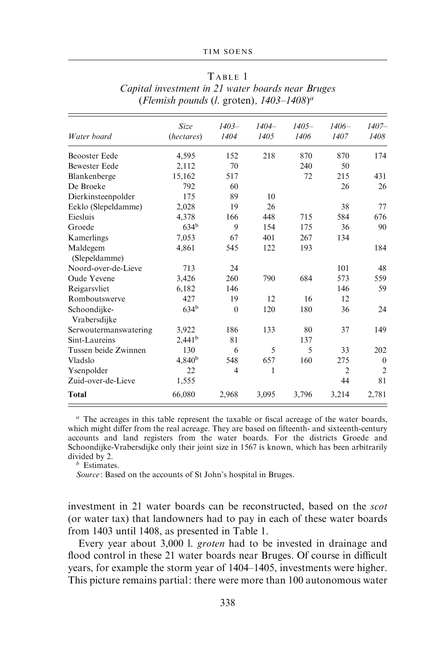#### TIM SOENS

#### T ABLE 1

|                              | <b>Size</b>        | $1403 -$       | $1404 -$ | $1405 -$ | $1406 -$       | $1407 -$         |
|------------------------------|--------------------|----------------|----------|----------|----------------|------------------|
| Water board                  | (hectares)         | 1404           | 1405     | 1406     | 1407           | 1408             |
| <b>Beooster Eede</b>         | 4,595              | 152            | 218      | 870      | 870            | 174              |
| <b>Bewester Eede</b>         | 2,112              | 70             |          | 240      | 50             |                  |
| Blankenberge                 | 15,162             | 517            |          | 72       | 215            | 431              |
| De Broeke                    | 792                | 60             |          |          | 26             | 26               |
| Dierkinsteenpolder           | 175                | 89             | 10       |          |                |                  |
| Eeklo (Slepeldamme)          | 2,028              | 19             | 26       |          | 38             | 77               |
| Eiesluis                     | 4,378              | 166            | 448      | 715      | 584            | 676              |
| Groede                       | 634 <sup>b</sup>   | 9              | 154      | 175      | 36             | 90               |
| Kamerlings                   | 7,053              | 67             | 401      | 267      | 134            |                  |
| Maldegem<br>(Slepeldamme)    | 4,861              | 545            | 122      | 193      |                | 184              |
| Noord-over-de-Lieve          | 713                | 24             |          |          | 101            | 48               |
| Oude Yevene                  | 3,426              | 260            | 790      | 684      | 573            | 559              |
| Reigarsvliet                 | 6,182              | 146            |          |          | 146            | 59               |
| Romboutswerve                | 427                | 19             | 12       | 16       | 12             |                  |
| Schoondijke-<br>Vrabersdijke | 634 <sup>b</sup>   | $\theta$       | 120      | 180      | 36             | 24               |
| Serwoutermanswatering        | 3,922              | 186            | 133      | 80       | 37             | 149              |
| Sint-Laureins                | 2,441 <sup>b</sup> | 81             |          | 137      |                |                  |
| Tussen beide Zwinnen         | 130                | 6              | 5        | 5        | 33             | 202              |
| Vladslo                      | 4,840 <sup>b</sup> | 548            | 657      | 160      | 275            | $\boldsymbol{0}$ |
| Ysenpolder                   | 22                 | $\overline{4}$ | 1        |          | $\overline{2}$ | $\overline{2}$   |
| Zuid-over-de-Lieve           | 1,555              |                |          |          | 44             | 81               |
| <b>Total</b>                 | 66,080             | 2,968          | 3,095    | 3,796    | 3,214          | 2,781            |

Capital investment in 21 water boards near Bruges (Flemish pounds (l. groten),  $1403-1408$ <sup>a</sup>

 $a$  The acreages in this table represent the taxable or fiscal acreage of the water boards, which might differ from the real acreage. They are based on fifteenth- and sixteenth-century accounts and land registers from the water boards. For the districts Groede and Schoondijke-Vrabersdijke only their joint size in 1567 is known, which has been arbitrarily divided by 2.

 $\bar{b}$  Estimates.

Source: Based on the accounts of St John's hospital in Bruges.

investment in 21 water boards can be reconstructed, based on the scot (or water tax) that landowners had to pay in each of these water boards from 1403 until 1408, as presented in Table 1.

Every year about 3,000 l. groten had to be invested in drainage and flood control in these 21 water boards near Bruges. Of course in difficult years, for example the storm year of 1404–1405, investments were higher. This picture remains partial: there were more than 100 autonomous water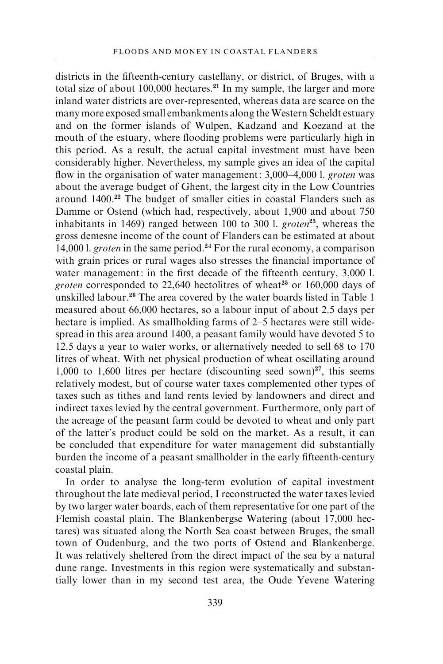districts in the fifteenth-century castellany, or district, of Bruges, with a total size of about  $100,000$  hectares.<sup>21</sup> In my sample, the larger and more inland water districts are over-represented, whereas data are scarce on the many more exposed small embankments along the Western Scheldt estuary and on the former islands of Wulpen, Kadzand and Koezand at the mouth of the estuary, where flooding problems were particularly high in this period. As a result, the actual capital investment must have been considerably higher. Nevertheless, my sample gives an idea of the capital flow in the organisation of water management: 3,000–4,000 l. groten was about the average budget of Ghent, the largest city in the Low Countries around 1400.<sup>22</sup> The budget of smaller cities in coastal Flanders such as Damme or Ostend (which had, respectively, about 1,900 and about 750 inhabitants in 1469) ranged between 100 to 300 l. groten<sup>23</sup>, whereas the gross demesne income of the count of Flanders can be estimated at about 14,000 l. groten in the same period.<sup>24</sup> For the rural economy, a comparison with grain prices or rural wages also stresses the financial importance of water management: in the first decade of the fifteenth century, 3,000 l. groten corresponded to 22,640 hectolitres of wheat $25$  or 160,000 days of unskilled labour.<sup>26</sup> The area covered by the water boards listed in Table 1 measured about 66,000 hectares, so a labour input of about 2.5 days per hectare is implied. As smallholding farms of 2–5 hectares were still widespread in this area around 1400, a peasant family would have devoted 5 to 12.5 days a year to water works, or alternatively needed to sell 68 to 170 litres of wheat. With net physical production of wheat oscillating around 1,000 to 1,600 litres per hectare (discounting seed sown)<sup>27</sup>, this seems relatively modest, but of course water taxes complemented other types of taxes such as tithes and land rents levied by landowners and direct and indirect taxes levied by the central government. Furthermore, only part of the acreage of the peasant farm could be devoted to wheat and only part of the latter's product could be sold on the market. As a result, it can be concluded that expenditure for water management did substantially burden the income of a peasant smallholder in the early fifteenth-century coastal plain.

In order to analyse the long-term evolution of capital investment throughout the late medieval period, I reconstructed the water taxes levied by two larger water boards, each of them representative for one part of the Flemish coastal plain. The Blankenbergse Watering (about 17,000 hectares) was situated along the North Sea coast between Bruges, the small town of Oudenburg, and the two ports of Ostend and Blankenberge. It was relatively sheltered from the direct impact of the sea by a natural dune range. Investments in this region were systematically and substantially lower than in my second test area, the Oude Yevene Watering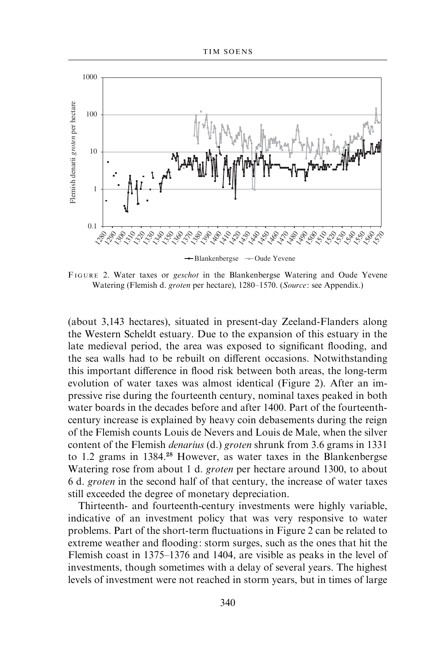

FIGURE 2. Water taxes or geschot in the Blankenbergse Watering and Oude Yevene Watering (Flemish d. groten per hectare), 1280–1570. (Source: see Appendix.)

(about 3,143 hectares), situated in present-day Zeeland-Flanders along the Western Scheldt estuary. Due to the expansion of this estuary in the late medieval period, the area was exposed to significant flooding, and the sea walls had to be rebuilt on different occasions. Notwithstanding this important difference in flood risk between both areas, the long-term evolution of water taxes was almost identical (Figure 2). After an impressive rise during the fourteenth century, nominal taxes peaked in both water boards in the decades before and after 1400. Part of the fourteenthcentury increase is explained by heavy coin debasements during the reign of the Flemish counts Louis de Nevers and Louis de Male, when the silver content of the Flemish denarius (d.) groten shrunk from 3.6 grams in 1331 to 1.2 grams in 1384.<sup>28</sup> However, as water taxes in the Blankenbergse Watering rose from about 1 d. groten per hectare around 1300, to about 6 d. groten in the second half of that century, the increase of water taxes still exceeded the degree of monetary depreciation.

Thirteenth- and fourteenth-century investments were highly variable, indicative of an investment policy that was very responsive to water problems. Part of the short-term fluctuations in Figure 2 can be related to extreme weather and flooding: storm surges, such as the ones that hit the Flemish coast in 1375–1376 and 1404, are visible as peaks in the level of investments, though sometimes with a delay of several years. The highest levels of investment were not reached in storm years, but in times of large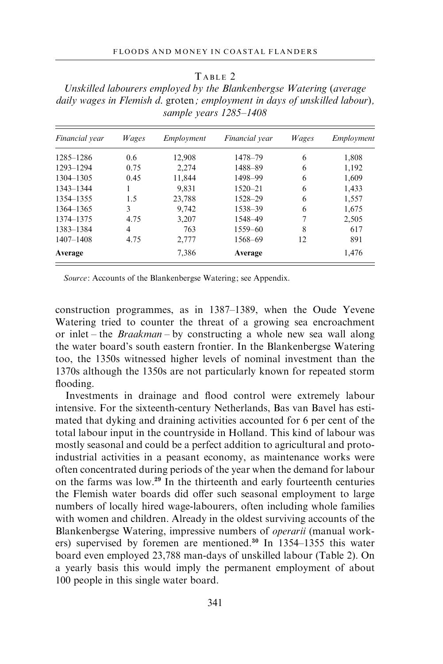#### TARLE 2

Unskilled labourers employed by the Blankenbergse Watering (average daily wages in Flemish d. groten; employment in days of unskilled labour), sample years 1285–1408

| Financial year | Wages | Employment | <i>Financial</i> vear | Wages | Employment |
|----------------|-------|------------|-----------------------|-------|------------|
| 1285-1286      | 0.6   | 12,908     | 1478-79               | 6     | 1,808      |
| 1293-1294      | 0.75  | 2,274      | 1488-89               | 6     | 1,192      |
| 1304-1305      | 0.45  | 11.844     | 1498-99               | 6     | 1,609      |
| 1343-1344      |       | 9,831      | $1520 - 21$           | 6     | 1,433      |
| 1354-1355      | 1.5   | 23,788     | 1528-29               | 6     | 1.557      |
| 1364-1365      | 3     | 9.742      | 1538-39               | 6     | 1,675      |
| 1374-1375      | 4.75  | 3,207      | 1548-49               | 7     | 2,505      |
| 1383-1384      | 4     | 763        | $1559 - 60$           | 8     | 617        |
| $1407 - 1408$  | 4.75  | 2,777      | 1568-69               | 12    | 891        |
| Average        |       | 7.386      | Average               |       | 1.476      |

Source: Accounts of the Blankenbergse Watering; see Appendix.

construction programmes, as in 1387–1389, when the Oude Yevene Watering tried to counter the threat of a growing sea encroachment or inlet – the *Braakman* – by constructing a whole new sea wall along the water board's south eastern frontier. In the Blankenbergse Watering too, the 1350s witnessed higher levels of nominal investment than the 1370s although the 1350s are not particularly known for repeated storm flooding.

Investments in drainage and flood control were extremely labour intensive. For the sixteenth-century Netherlands, Bas van Bavel has estimated that dyking and draining activities accounted for 6 per cent of the total labour input in the countryside in Holland. This kind of labour was mostly seasonal and could be a perfect addition to agricultural and protoindustrial activities in a peasant economy, as maintenance works were often concentrated during periods of the year when the demand for labour on the farms was low.<sup>29</sup> In the thirteenth and early fourteenth centuries the Flemish water boards did offer such seasonal employment to large numbers of locally hired wage-labourers, often including whole families with women and children. Already in the oldest surviving accounts of the Blankenbergse Watering, impressive numbers of operarii (manual workers) supervised by foremen are mentioned.<sup>30</sup> In 1354–1355 this water board even employed 23,788 man-days of unskilled labour (Table 2). On a yearly basis this would imply the permanent employment of about 100 people in this single water board.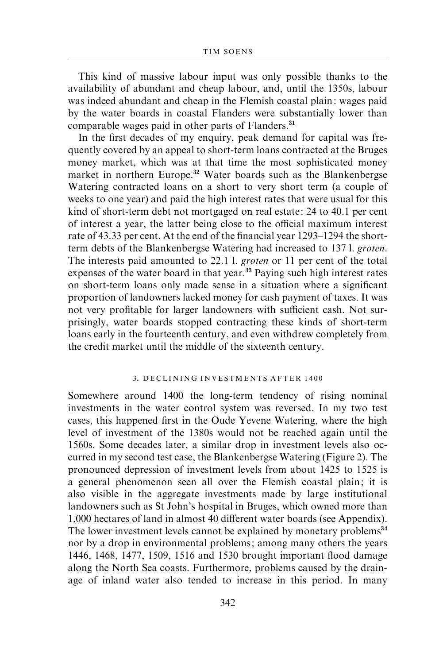This kind of massive labour input was only possible thanks to the availability of abundant and cheap labour, and, until the 1350s, labour was indeed abundant and cheap in the Flemish coastal plain: wages paid by the water boards in coastal Flanders were substantially lower than comparable wages paid in other parts of Flanders.<sup>31</sup>

In the first decades of my enquiry, peak demand for capital was frequently covered by an appeal to short-term loans contracted at the Bruges money market, which was at that time the most sophisticated money market in northern Europe.<sup>32</sup> Water boards such as the Blankenbergse Watering contracted loans on a short to very short term (a couple of weeks to one year) and paid the high interest rates that were usual for this kind of short-term debt not mortgaged on real estate: 24 to 40.1 per cent of interest a year, the latter being close to the official maximum interest rate of 43.33 per cent. At the end of the financial year 1293–1294 the shortterm debts of the Blankenbergse Watering had increased to 137 l. groten. The interests paid amounted to 22.1 l. groten or 11 per cent of the total expenses of the water board in that year.<sup>33</sup> Paying such high interest rates on short-term loans only made sense in a situation where a significant proportion of landowners lacked money for cash payment of taxes. It was not very profitable for larger landowners with sufficient cash. Not surprisingly, water boards stopped contracting these kinds of short-term loans early in the fourteenth century, and even withdrew completely from the credit market until the middle of the sixteenth century.

#### 3. DECLINING INVESTMENTS AFTER 1400

Somewhere around 1400 the long-term tendency of rising nominal investments in the water control system was reversed. In my two test cases, this happened first in the Oude Yevene Watering, where the high level of investment of the 1380s would not be reached again until the 1560s. Some decades later, a similar drop in investment levels also occurred in my second test case, the Blankenbergse Watering (Figure 2). The pronounced depression of investment levels from about 1425 to 1525 is a general phenomenon seen all over the Flemish coastal plain; it is also visible in the aggregate investments made by large institutional landowners such as St John's hospital in Bruges, which owned more than 1,000 hectares of land in almost 40 different water boards (see Appendix). The lower investment levels cannot be explained by monetary problems<sup>34</sup> nor by a drop in environmental problems; among many others the years 1446, 1468, 1477, 1509, 1516 and 1530 brought important flood damage along the North Sea coasts. Furthermore, problems caused by the drainage of inland water also tended to increase in this period. In many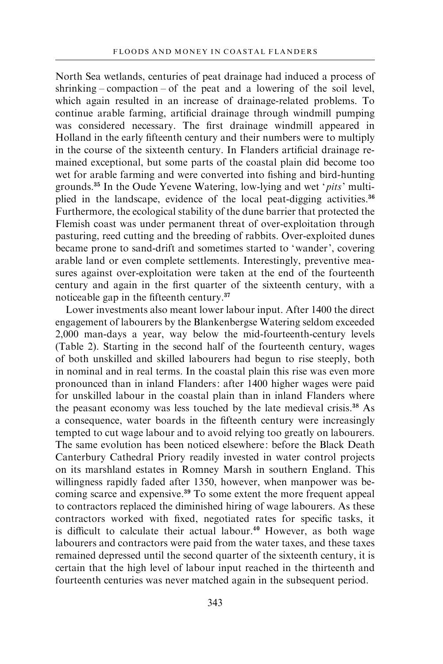North Sea wetlands, centuries of peat drainage had induced a process of shrinking – compaction – of the peat and a lowering of the soil level. which again resulted in an increase of drainage-related problems. To continue arable farming, artificial drainage through windmill pumping was considered necessary. The first drainage windmill appeared in Holland in the early fifteenth century and their numbers were to multiply in the course of the sixteenth century. In Flanders artificial drainage remained exceptional, but some parts of the coastal plain did become too wet for arable farming and were converted into fishing and bird-hunting grounds.<sup>35</sup> In the Oude Yevene Watering, low-lying and wet 'pits' multiplied in the landscape, evidence of the local peat-digging activities.<sup>36</sup> Furthermore, the ecological stability of the dune barrier that protected the Flemish coast was under permanent threat of over-exploitation through pasturing, reed cutting and the breeding of rabbits. Over-exploited dunes became prone to sand-drift and sometimes started to 'wander', covering arable land or even complete settlements. Interestingly, preventive measures against over-exploitation were taken at the end of the fourteenth century and again in the first quarter of the sixteenth century, with a noticeable gap in the fifteenth century.<sup>37</sup>

Lower investments also meant lower labour input. After 1400 the direct engagement of labourers by the Blankenbergse Watering seldom exceeded 2,000 man-days a year, way below the mid-fourteenth-century levels (Table 2). Starting in the second half of the fourteenth century, wages of both unskilled and skilled labourers had begun to rise steeply, both in nominal and in real terms. In the coastal plain this rise was even more pronounced than in inland Flanders: after 1400 higher wages were paid for unskilled labour in the coastal plain than in inland Flanders where the peasant economy was less touched by the late medieval crisis.<sup>38</sup> As a consequence, water boards in the fifteenth century were increasingly tempted to cut wage labour and to avoid relying too greatly on labourers. The same evolution has been noticed elsewhere: before the Black Death Canterbury Cathedral Priory readily invested in water control projects on its marshland estates in Romney Marsh in southern England. This willingness rapidly faded after 1350, however, when manpower was becoming scarce and expensive.<sup>39</sup> To some extent the more frequent appeal to contractors replaced the diminished hiring of wage labourers. As these contractors worked with fixed, negotiated rates for specific tasks, it is difficult to calculate their actual labour.<sup>40</sup> However, as both wage labourers and contractors were paid from the water taxes, and these taxes remained depressed until the second quarter of the sixteenth century, it is certain that the high level of labour input reached in the thirteenth and fourteenth centuries was never matched again in the subsequent period.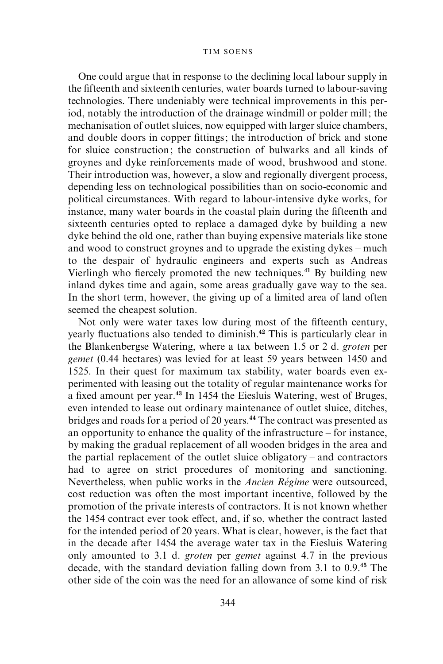One could argue that in response to the declining local labour supply in the fifteenth and sixteenth centuries, water boards turned to labour-saving technologies. There undeniably were technical improvements in this period, notably the introduction of the drainage windmill or polder mill; the mechanisation of outlet sluices, now equipped with larger sluice chambers, and double doors in copper fittings; the introduction of brick and stone for sluice construction; the construction of bulwarks and all kinds of groynes and dyke reinforcements made of wood, brushwood and stone. Their introduction was, however, a slow and regionally divergent process, depending less on technological possibilities than on socio-economic and political circumstances. With regard to labour-intensive dyke works, for instance, many water boards in the coastal plain during the fifteenth and sixteenth centuries opted to replace a damaged dyke by building a new dyke behind the old one, rather than buying expensive materials like stone and wood to construct groynes and to upgrade the existing dykes – much to the despair of hydraulic engineers and experts such as Andreas Vierlingh who fiercely promoted the new techniques.<sup>41</sup> By building new inland dykes time and again, some areas gradually gave way to the sea. In the short term, however, the giving up of a limited area of land often seemed the cheapest solution.

Not only were water taxes low during most of the fifteenth century, yearly fluctuations also tended to diminish.<sup>42</sup> This is particularly clear in the Blankenbergse Watering, where a tax between 1.5 or 2 d. groten per gemet (0.44 hectares) was levied for at least 59 years between 1450 and 1525. In their quest for maximum tax stability, water boards even experimented with leasing out the totality of regular maintenance works for a fixed amount per year.<sup>43</sup> In 1454 the Eiesluis Watering, west of Bruges, even intended to lease out ordinary maintenance of outlet sluice, ditches, bridges and roads for a period of 20 years.<sup>44</sup> The contract was presented as an opportunity to enhance the quality of the infrastructure – for instance, by making the gradual replacement of all wooden bridges in the area and the partial replacement of the outlet sluice obligatory – and contractors had to agree on strict procedures of monitoring and sanctioning. Nevertheless, when public works in the Ancien Régime were outsourced, cost reduction was often the most important incentive, followed by the promotion of the private interests of contractors. It is not known whether the 1454 contract ever took effect, and, if so, whether the contract lasted for the intended period of 20 years. What is clear, however, is the fact that in the decade after 1454 the average water tax in the Eiesluis Watering only amounted to 3.1 d. groten per gemet against 4.7 in the previous decade, with the standard deviation falling down from 3.1 to 0.9.<sup>45</sup> The other side of the coin was the need for an allowance of some kind of risk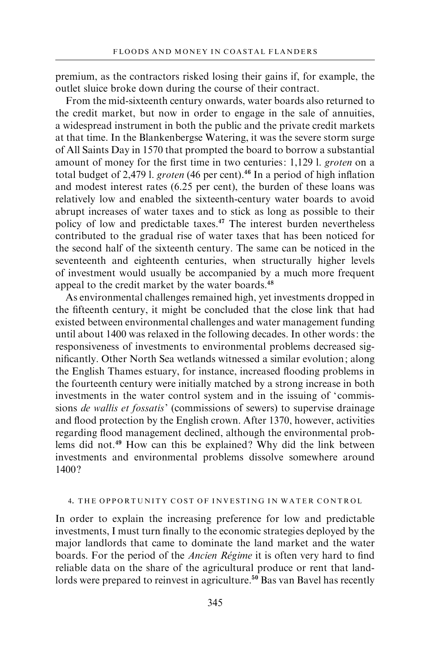premium, as the contractors risked losing their gains if, for example, the outlet sluice broke down during the course of their contract.

From the mid-sixteenth century onwards, water boards also returned to the credit market, but now in order to engage in the sale of annuities, a widespread instrument in both the public and the private credit markets at that time. In the Blankenbergse Watering, it was the severe storm surge of All Saints Day in 1570 that prompted the board to borrow a substantial amount of money for the first time in two centuries: 1,129 l. groten on a total budget of 2,479 l. groten (46 per cent).<sup>46</sup> In a period of high inflation and modest interest rates (6.25 per cent), the burden of these loans was relatively low and enabled the sixteenth-century water boards to avoid abrupt increases of water taxes and to stick as long as possible to their policy of low and predictable taxes.<sup>47</sup> The interest burden nevertheless contributed to the gradual rise of water taxes that has been noticed for the second half of the sixteenth century. The same can be noticed in the seventeenth and eighteenth centuries, when structurally higher levels of investment would usually be accompanied by a much more frequent appeal to the credit market by the water boards.<sup>48</sup>

As environmental challenges remained high, yet investments dropped in the fifteenth century, it might be concluded that the close link that had existed between environmental challenges and water management funding until about 1400 was relaxed in the following decades. In other words: the responsiveness of investments to environmental problems decreased significantly. Other North Sea wetlands witnessed a similar evolution; along the English Thames estuary, for instance, increased flooding problems in the fourteenth century were initially matched by a strong increase in both investments in the water control system and in the issuing of 'commissions de wallis et fossatis' (commissions of sewers) to supervise drainage and flood protection by the English crown. After 1370, however, activities regarding flood management declined, although the environmental problems did not.<sup>49</sup> How can this be explained? Why did the link between investments and environmental problems dissolve somewhere around 1400 ?

## 4. THE OPPORTUNITY COST OF INVESTING IN WATER CONTROL

In order to explain the increasing preference for low and predictable investments, I must turn finally to the economic strategies deployed by the major landlords that came to dominate the land market and the water boards. For the period of the *Ancien Régime* it is often very hard to find reliable data on the share of the agricultural produce or rent that landlords were prepared to reinvest in agriculture.<sup>50</sup> Bas van Bavel has recently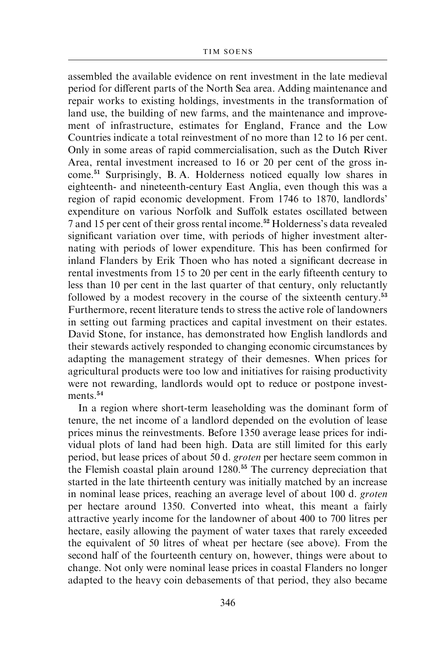assembled the available evidence on rent investment in the late medieval period for different parts of the North Sea area. Adding maintenance and repair works to existing holdings, investments in the transformation of land use, the building of new farms, and the maintenance and improvement of infrastructure, estimates for England, France and the Low Countries indicate a total reinvestment of no more than 12 to 16 per cent. Only in some areas of rapid commercialisation, such as the Dutch River Area, rental investment increased to 16 or 20 per cent of the gross income.<sup>51</sup> Surprisingly, B. A. Holderness noticed equally low shares in eighteenth- and nineteenth-century East Anglia, even though this was a region of rapid economic development. From 1746 to 1870, landlords' expenditure on various Norfolk and Suffolk estates oscillated between 7 and 15 per cent of their gross rental income.<sup>52</sup> Holderness's data revealed significant variation over time, with periods of higher investment alternating with periods of lower expenditure. This has been confirmed for inland Flanders by Erik Thoen who has noted a significant decrease in rental investments from 15 to 20 per cent in the early fifteenth century to less than 10 per cent in the last quarter of that century, only reluctantly followed by a modest recovery in the course of the sixteenth century.<sup>53</sup> Furthermore, recent literature tends to stress the active role of landowners in setting out farming practices and capital investment on their estates. David Stone, for instance, has demonstrated how English landlords and their stewards actively responded to changing economic circumstances by adapting the management strategy of their demesnes. When prices for agricultural products were too low and initiatives for raising productivity were not rewarding, landlords would opt to reduce or postpone investments<sup>54</sup>

In a region where short-term leaseholding was the dominant form of tenure, the net income of a landlord depended on the evolution of lease prices minus the reinvestments. Before 1350 average lease prices for individual plots of land had been high. Data are still limited for this early period, but lease prices of about 50 d. groten per hectare seem common in the Flemish coastal plain around 1280.<sup>55</sup> The currency depreciation that started in the late thirteenth century was initially matched by an increase in nominal lease prices, reaching an average level of about 100 d. groten per hectare around 1350. Converted into wheat, this meant a fairly attractive yearly income for the landowner of about 400 to 700 litres per hectare, easily allowing the payment of water taxes that rarely exceeded the equivalent of 50 litres of wheat per hectare (see above). From the second half of the fourteenth century on, however, things were about to change. Not only were nominal lease prices in coastal Flanders no longer adapted to the heavy coin debasements of that period, they also became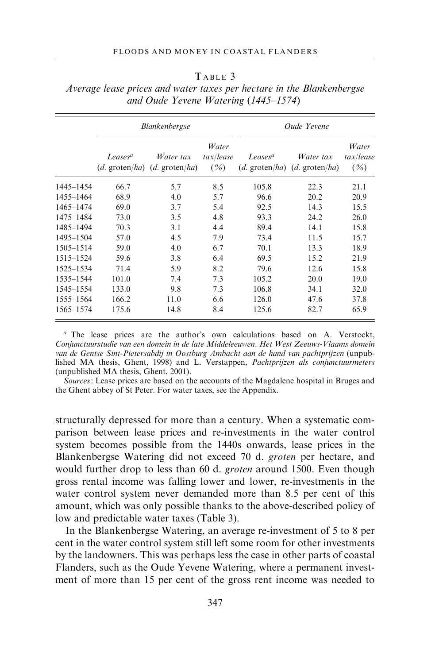|           | <b>Blankenbergse</b>                    |                               |                            |                                         | Oude Yevene                   |                            |
|-----------|-----------------------------------------|-------------------------------|----------------------------|-----------------------------------------|-------------------------------|----------------------------|
|           | Leases <sup>a</sup><br>$(d.$ groten/ha) | Water tax<br>$(d.$ groten/ha) | Water<br>tax/lease<br>( %) | Leases <sup>a</sup><br>$(d.$ groten/ha) | Water tax<br>$(d.$ groten/ha) | Water<br>tax/lease<br>( %) |
| 1445-1454 | 66.7                                    | 5.7                           | 8.5                        | 105.8                                   | 22.3                          | 21.1                       |
| 1455-1464 | 68.9                                    | 4.0                           | 5.7                        | 96.6                                    | 20.2                          | 20.9                       |
| 1465-1474 | 69.0                                    | 3.7                           | 5.4                        | 92.5                                    | 14.3                          | 15.5                       |
| 1475-1484 | 73.0                                    | 3.5                           | 4.8                        | 93.3                                    | 24.2                          | 26.0                       |
| 1485-1494 | 70.3                                    | 3.1                           | 4.4                        | 89.4                                    | 14.1                          | 15.8                       |
| 1495-1504 | 57.0                                    | 4.5                           | 7.9                        | 73.4                                    | 11.5                          | 15.7                       |
| 1505-1514 | 59.0                                    | 4.0                           | 6.7                        | 70.1                                    | 13.3                          | 18.9                       |
| 1515-1524 | 59.6                                    | 3.8                           | 6.4                        | 69.5                                    | 15.2                          | 21.9                       |
| 1525-1534 | 71.4                                    | 5.9                           | 8.2                        | 79.6                                    | 12.6                          | 15.8                       |
| 1535-1544 | 101.0                                   | 7.4                           | 7.3                        | 105.2                                   | 20.0                          | 19.0                       |
| 1545-1554 | 133.0                                   | 9.8                           | 7.3                        | 106.8                                   | 34.1                          | 32.0                       |
| 1555-1564 | 166.2                                   | 11.0                          | 6.6                        | 126.0                                   | 47.6                          | 37.8                       |
| 1565-1574 | 175.6                                   | 14.8                          | 8.4                        | 125.6                                   | 82.7                          | 65.9                       |

| TABLE 3                                                               |
|-----------------------------------------------------------------------|
| Average lease prices and water taxes per hectare in the Blankenbergse |
| and Oude Yevene Watering $(1445-1574)$                                |

 $a$  The lease prices are the author's own calculations based on A. Verstockt, Conjunctuurstudie van een domein in de late Middeleeuwen. Het West Zeeuws-Vlaams domein van de Gentse Sint-Pietersabdij in Oostburg Ambacht aan de hand van pachtprijzen (unpublished MA thesis, Ghent, 1998) and L. Verstappen, Pachtprijzen als conjunctuurmeters (unpublished MA thesis, Ghent, 2001).

Sources: Lease prices are based on the accounts of the Magdalene hospital in Bruges and the Ghent abbey of St Peter. For water taxes, see the Appendix.

structurally depressed for more than a century. When a systematic comparison between lease prices and re-investments in the water control system becomes possible from the 1440s onwards, lease prices in the Blankenbergse Watering did not exceed 70 d. groten per hectare, and would further drop to less than 60 d. *groten* around 1500. Even though gross rental income was falling lower and lower, re-investments in the water control system never demanded more than 8.5 per cent of this amount, which was only possible thanks to the above-described policy of low and predictable water taxes (Table 3).

In the Blankenbergse Watering, an average re-investment of 5 to 8 per cent in the water control system still left some room for other investments by the landowners. This was perhaps less the case in other parts of coastal Flanders, such as the Oude Yevene Watering, where a permanent investment of more than 15 per cent of the gross rent income was needed to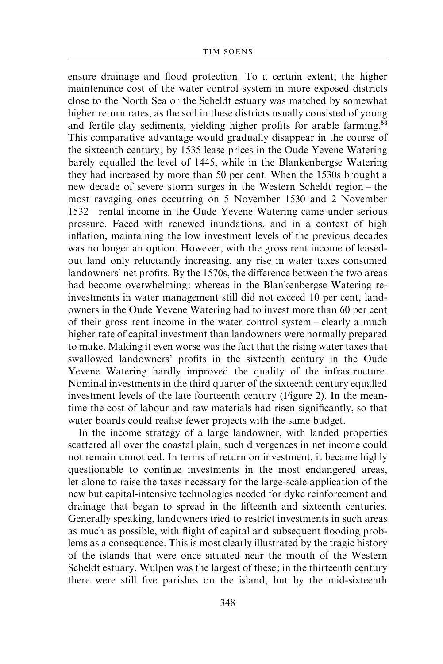ensure drainage and flood protection. To a certain extent, the higher maintenance cost of the water control system in more exposed districts close to the North Sea or the Scheldt estuary was matched by somewhat higher return rates, as the soil in these districts usually consisted of young and fertile clay sediments, yielding higher profits for arable farming.<sup>56</sup> This comparative advantage would gradually disappear in the course of the sixteenth century; by 1535 lease prices in the Oude Yevene Watering barely equalled the level of 1445, while in the Blankenbergse Watering they had increased by more than 50 per cent. When the 1530s brought a new decade of severe storm surges in the Western Scheldt region – the most ravaging ones occurring on 5 November 1530 and 2 November 1532 – rental income in the Oude Yevene Watering came under serious pressure. Faced with renewed inundations, and in a context of high inflation, maintaining the low investment levels of the previous decades was no longer an option. However, with the gross rent income of leasedout land only reluctantly increasing, any rise in water taxes consumed landowners' net profits. By the 1570s, the difference between the two areas had become overwhelming: whereas in the Blankenbergse Watering reinvestments in water management still did not exceed 10 per cent, landowners in the Oude Yevene Watering had to invest more than 60 per cent of their gross rent income in the water control system – clearly a much higher rate of capital investment than landowners were normally prepared to make. Making it even worse was the fact that the rising water taxes that swallowed landowners' profits in the sixteenth century in the Oude Yevene Watering hardly improved the quality of the infrastructure. Nominal investments in the third quarter of the sixteenth century equalled investment levels of the late fourteenth century (Figure 2). In the meantime the cost of labour and raw materials had risen significantly, so that water boards could realise fewer projects with the same budget.

In the income strategy of a large landowner, with landed properties scattered all over the coastal plain, such divergences in net income could not remain unnoticed. In terms of return on investment, it became highly questionable to continue investments in the most endangered areas, let alone to raise the taxes necessary for the large-scale application of the new but capital-intensive technologies needed for dyke reinforcement and drainage that began to spread in the fifteenth and sixteenth centuries. Generally speaking, landowners tried to restrict investments in such areas as much as possible, with flight of capital and subsequent flooding problems as a consequence. This is most clearly illustrated by the tragic history of the islands that were once situated near the mouth of the Western Scheldt estuary. Wulpen was the largest of these; in the thirteenth century there were still five parishes on the island, but by the mid-sixteenth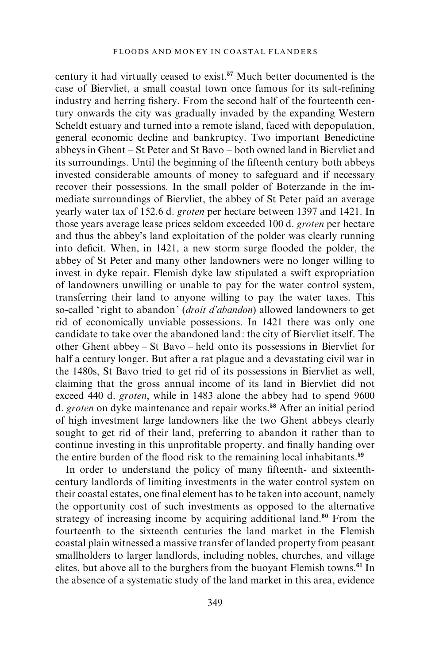century it had virtually ceased to exist.<sup>57</sup> Much better documented is the case of Biervliet, a small coastal town once famous for its salt-refining industry and herring fishery. From the second half of the fourteenth century onwards the city was gradually invaded by the expanding Western Scheldt estuary and turned into a remote island, faced with depopulation, general economic decline and bankruptcy. Two important Benedictine abbeys in Ghent – St Peter and St Bavo – both owned land in Biervliet and its surroundings. Until the beginning of the fifteenth century both abbeys invested considerable amounts of money to safeguard and if necessary recover their possessions. In the small polder of Boterzande in the immediate surroundings of Biervliet, the abbey of St Peter paid an average yearly water tax of 152.6 d. groten per hectare between 1397 and 1421. In those years average lease prices seldom exceeded 100 d. groten per hectare and thus the abbey's land exploitation of the polder was clearly running into deficit. When, in 1421, a new storm surge flooded the polder, the abbey of St Peter and many other landowners were no longer willing to invest in dyke repair. Flemish dyke law stipulated a swift expropriation of landowners unwilling or unable to pay for the water control system, transferring their land to anyone willing to pay the water taxes. This so-called 'right to abandon' (*droit d'abandon*) allowed landowners to get rid of economically unviable possessions. In 1421 there was only one candidate to take over the abandoned land: the city of Biervliet itself. The other Ghent abbey – St Bavo – held onto its possessions in Biervliet for half a century longer. But after a rat plague and a devastating civil war in the 1480s, St Bavo tried to get rid of its possessions in Biervliet as well, claiming that the gross annual income of its land in Biervliet did not exceed 440 d. groten, while in 1483 alone the abbey had to spend 9600 d. groten on dyke maintenance and repair works.<sup>58</sup> After an initial period of high investment large landowners like the two Ghent abbeys clearly sought to get rid of their land, preferring to abandon it rather than to continue investing in this unprofitable property, and finally handing over the entire burden of the flood risk to the remaining local inhabitants.<sup>59</sup>

In order to understand the policy of many fifteenth- and sixteenthcentury landlords of limiting investments in the water control system on their coastal estates, one final element has to be taken into account, namely the opportunity cost of such investments as opposed to the alternative strategy of increasing income by acquiring additional land.<sup>60</sup> From the fourteenth to the sixteenth centuries the land market in the Flemish coastal plain witnessed a massive transfer of landed property from peasant smallholders to larger landlords, including nobles, churches, and village elites, but above all to the burghers from the buoyant Flemish towns.<sup>61</sup> In the absence of a systematic study of the land market in this area, evidence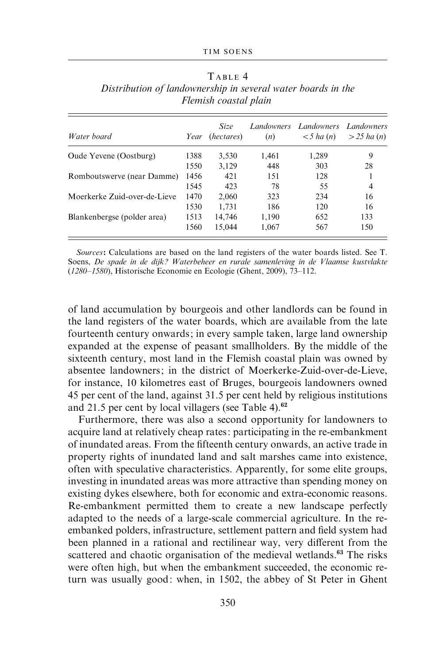| Water board                  | Year | <b>Size</b><br>(hectares) | (n)   | Landowners Landowners<br>$\lt 5$ ha (n) | <b>Landowners</b><br>$>$ 25 ha (n) |
|------------------------------|------|---------------------------|-------|-----------------------------------------|------------------------------------|
| Oude Yevene (Oostburg)       | 1388 | 3,530                     | 1,461 | 1,289                                   | 9                                  |
|                              | 1550 | 3,129                     | 448   | 303                                     | 28                                 |
| Romboutswerve (near Damme)   | 1456 | 421                       | 151   | 128                                     |                                    |
|                              | 1545 | 423                       | 78    | 55                                      | 4                                  |
| Moerkerke Zuid-over-de-Lieve | 1470 | 2,060                     | 323   | 234                                     | 16                                 |
|                              | 1530 | 1.731                     | 186   | 120                                     | 16                                 |
| Blankenbergse (polder area)  | 1513 | 14,746                    | 1,190 | 652                                     | 133                                |
|                              | 1560 | 15.044                    | 1,067 | 567                                     | 150                                |

TARLE 4 Distribution of landownership in several water boards in the Flemish coastal plain

Sources: Calculations are based on the land registers of the water boards listed. See T. Soens, De spade in de dijk? Waterbeheer en rurale samenleving in de Vlaamse kustvlakte (1280–1580), Historische Economie en Ecologie (Ghent, 2009), 73–112.

of land accumulation by bourgeois and other landlords can be found in the land registers of the water boards, which are available from the late fourteenth century onwards; in every sample taken, large land ownership expanded at the expense of peasant smallholders. By the middle of the sixteenth century, most land in the Flemish coastal plain was owned by absentee landowners; in the district of Moerkerke-Zuid-over-de-Lieve, for instance, 10 kilometres east of Bruges, bourgeois landowners owned 45 per cent of the land, against 31.5 per cent held by religious institutions and 21.5 per cent by local villagers (see Table 4). $62$ 

Furthermore, there was also a second opportunity for landowners to acquire land at relatively cheap rates: participating in the re-embankment of inundated areas. From the fifteenth century onwards, an active trade in property rights of inundated land and salt marshes came into existence, often with speculative characteristics. Apparently, for some elite groups, investing in inundated areas was more attractive than spending money on existing dykes elsewhere, both for economic and extra-economic reasons. Re-embankment permitted them to create a new landscape perfectly adapted to the needs of a large-scale commercial agriculture. In the reembanked polders, infrastructure, settlement pattern and field system had been planned in a rational and rectilinear way, very different from the scattered and chaotic organisation of the medieval wetlands.<sup>63</sup> The risks were often high, but when the embankment succeeded, the economic return was usually good: when, in 1502, the abbey of St Peter in Ghent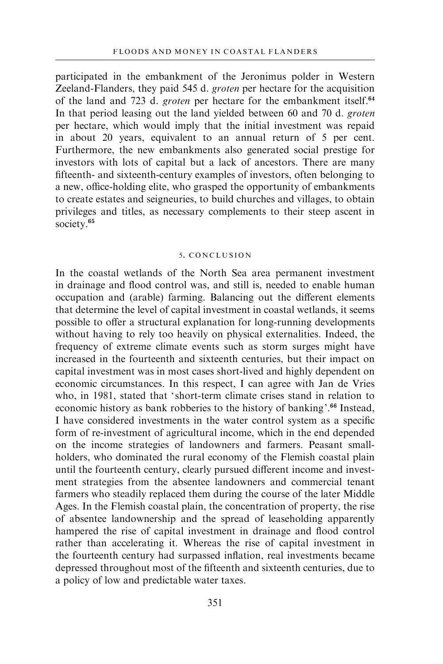participated in the embankment of the Jeronimus polder in Western Zeeland-Flanders, they paid 545 d. groten per hectare for the acquisition of the land and 723 d. *groten* per hectare for the embankment itself.<sup>64</sup> In that period leasing out the land yielded between 60 and 70 d. groten per hectare, which would imply that the initial investment was repaid in about 20 years, equivalent to an annual return of 5 per cent. Furthermore, the new embankments also generated social prestige for investors with lots of capital but a lack of ancestors. There are many fifteenth- and sixteenth-century examples of investors, often belonging to a new, office-holding elite, who grasped the opportunity of embankments to create estates and seigneuries, to build churches and villages, to obtain privileges and titles, as necessary complements to their steep ascent in society.<sup>65</sup>

#### 5. CONCLUSION

In the coastal wetlands of the North Sea area permanent investment in drainage and flood control was, and still is, needed to enable human occupation and (arable) farming. Balancing out the different elements that determine the level of capital investment in coastal wetlands, it seems possible to offer a structural explanation for long-running developments without having to rely too heavily on physical externalities. Indeed, the frequency of extreme climate events such as storm surges might have increased in the fourteenth and sixteenth centuries, but their impact on capital investment was in most cases short-lived and highly dependent on economic circumstances. In this respect, I can agree with Jan de Vries who, in 1981, stated that 'short-term climate crises stand in relation to economic history as bank robberies to the history of banking'.<sup>66</sup> Instead, I have considered investments in the water control system as a specific form of re-investment of agricultural income, which in the end depended on the income strategies of landowners and farmers. Peasant smallholders, who dominated the rural economy of the Flemish coastal plain until the fourteenth century, clearly pursued different income and investment strategies from the absentee landowners and commercial tenant farmers who steadily replaced them during the course of the later Middle Ages. In the Flemish coastal plain, the concentration of property, the rise of absentee landownership and the spread of leaseholding apparently hampered the rise of capital investment in drainage and flood control rather than accelerating it. Whereas the rise of capital investment in the fourteenth century had surpassed inflation, real investments became depressed throughout most of the fifteenth and sixteenth centuries, due to a policy of low and predictable water taxes.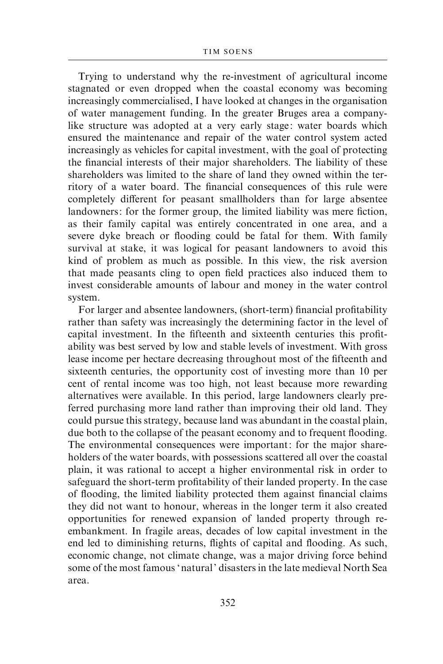Trying to understand why the re-investment of agricultural income stagnated or even dropped when the coastal economy was becoming increasingly commercialised, I have looked at changes in the organisation of water management funding. In the greater Bruges area a companylike structure was adopted at a very early stage: water boards which ensured the maintenance and repair of the water control system acted increasingly as vehicles for capital investment, with the goal of protecting the financial interests of their major shareholders. The liability of these shareholders was limited to the share of land they owned within the territory of a water board. The financial consequences of this rule were completely different for peasant smallholders than for large absentee landowners: for the former group, the limited liability was mere fiction, as their family capital was entirely concentrated in one area, and a severe dyke breach or flooding could be fatal for them. With family survival at stake, it was logical for peasant landowners to avoid this kind of problem as much as possible. In this view, the risk aversion that made peasants cling to open field practices also induced them to invest considerable amounts of labour and money in the water control system.

For larger and absentee landowners, (short-term) financial profitability rather than safety was increasingly the determining factor in the level of capital investment. In the fifteenth and sixteenth centuries this profitability was best served by low and stable levels of investment. With gross lease income per hectare decreasing throughout most of the fifteenth and sixteenth centuries, the opportunity cost of investing more than 10 per cent of rental income was too high, not least because more rewarding alternatives were available. In this period, large landowners clearly preferred purchasing more land rather than improving their old land. They could pursue this strategy, because land was abundant in the coastal plain, due both to the collapse of the peasant economy and to frequent flooding. The environmental consequences were important: for the major shareholders of the water boards, with possessions scattered all over the coastal plain, it was rational to accept a higher environmental risk in order to safeguard the short-term profitability of their landed property. In the case of flooding, the limited liability protected them against financial claims they did not want to honour, whereas in the longer term it also created opportunities for renewed expansion of landed property through reembankment. In fragile areas, decades of low capital investment in the end led to diminishing returns, flights of capital and flooding. As such, economic change, not climate change, was a major driving force behind some of the most famous 'natural' disasters in the late medieval North Sea area.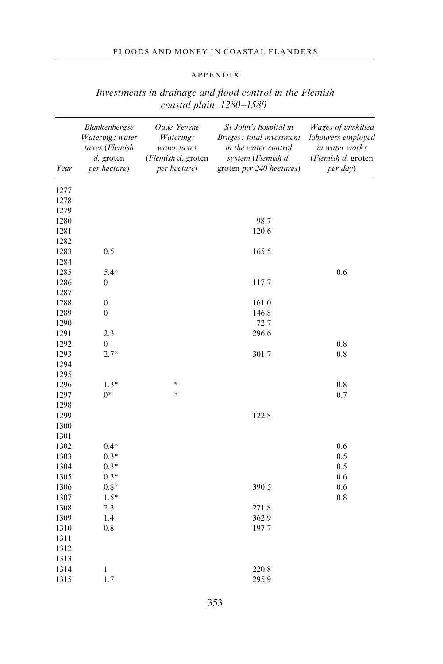## FLOODS AND MONEY IN COASTAL FLANDERS

## APPENDIX

| Year | Blankenbergse<br>Watering: water<br>taxes (Flemish<br>d. groten<br>per hectare) | Oude Yevene<br>Watering:<br>water taxes<br>(Flemish d. groten<br>per hectare) | St John's hospital in<br>Bruges: total investment<br>in the water control<br>system (Flemish d.<br>groten per 240 hectares) | Wages of unskilled<br>labourers employed<br>in water works<br>(Flemish d. groten<br>per day) |
|------|---------------------------------------------------------------------------------|-------------------------------------------------------------------------------|-----------------------------------------------------------------------------------------------------------------------------|----------------------------------------------------------------------------------------------|
| 1277 |                                                                                 |                                                                               |                                                                                                                             |                                                                                              |
| 1278 |                                                                                 |                                                                               |                                                                                                                             |                                                                                              |
| 1279 |                                                                                 |                                                                               |                                                                                                                             |                                                                                              |
| 1280 |                                                                                 |                                                                               | 98.7                                                                                                                        |                                                                                              |
| 1281 |                                                                                 |                                                                               | 120.6                                                                                                                       |                                                                                              |
| 1282 |                                                                                 |                                                                               |                                                                                                                             |                                                                                              |
| 1283 | 0.5                                                                             |                                                                               | 165.5                                                                                                                       |                                                                                              |
| 1284 |                                                                                 |                                                                               |                                                                                                                             |                                                                                              |
| 1285 | $5.4*$                                                                          |                                                                               |                                                                                                                             | 0.6                                                                                          |
| 1286 | $\boldsymbol{0}$                                                                |                                                                               | 117.7                                                                                                                       |                                                                                              |
| 1287 |                                                                                 |                                                                               |                                                                                                                             |                                                                                              |
| 1288 | $\boldsymbol{0}$                                                                |                                                                               | 161.0                                                                                                                       |                                                                                              |
| 1289 | $\boldsymbol{0}$                                                                |                                                                               | 146.8                                                                                                                       |                                                                                              |
| 1290 |                                                                                 |                                                                               | 72.7                                                                                                                        |                                                                                              |
| 1291 | 2.3                                                                             |                                                                               | 296.6                                                                                                                       |                                                                                              |
| 1292 | $\boldsymbol{0}$                                                                |                                                                               |                                                                                                                             | 0.8                                                                                          |
| 1293 | $2.7*$                                                                          |                                                                               | 301.7                                                                                                                       | 0.8                                                                                          |
| 1294 |                                                                                 |                                                                               |                                                                                                                             |                                                                                              |
| 1295 |                                                                                 |                                                                               |                                                                                                                             |                                                                                              |
| 1296 | $1.3*$                                                                          | *                                                                             |                                                                                                                             | 0.8                                                                                          |
| 1297 | $0*$                                                                            | ×                                                                             |                                                                                                                             | 0.7                                                                                          |
| 1298 |                                                                                 |                                                                               |                                                                                                                             |                                                                                              |
| 1299 |                                                                                 |                                                                               | 122.8                                                                                                                       |                                                                                              |
| 1300 |                                                                                 |                                                                               |                                                                                                                             |                                                                                              |
| 1301 |                                                                                 |                                                                               |                                                                                                                             |                                                                                              |
| 1302 | $0.4*$                                                                          |                                                                               |                                                                                                                             | 0.6                                                                                          |
| 1303 | $0.3*$                                                                          |                                                                               |                                                                                                                             | 0.5                                                                                          |
| 1304 | $0.3*$                                                                          |                                                                               |                                                                                                                             | 0.5                                                                                          |
| 1305 | $0.3*$                                                                          |                                                                               |                                                                                                                             | 0.6                                                                                          |
| 1306 | $0.8*$                                                                          |                                                                               | 390.5                                                                                                                       | 0.6                                                                                          |
| 1307 | $1.5*$                                                                          |                                                                               |                                                                                                                             | 0.8                                                                                          |
| 1308 | 2.3                                                                             |                                                                               | 271.8                                                                                                                       |                                                                                              |
| 1309 | 1.4                                                                             |                                                                               | 362.9                                                                                                                       |                                                                                              |
| 1310 | 0.8                                                                             |                                                                               | 197.7                                                                                                                       |                                                                                              |
| 1311 |                                                                                 |                                                                               |                                                                                                                             |                                                                                              |
| 1312 |                                                                                 |                                                                               |                                                                                                                             |                                                                                              |
| 1313 |                                                                                 |                                                                               |                                                                                                                             |                                                                                              |
| 1314 | $\,$ $\,$                                                                       |                                                                               | 220.8                                                                                                                       |                                                                                              |
| 1315 | 1.7                                                                             |                                                                               | 295.9                                                                                                                       |                                                                                              |

# Investments in drainage and flood control in the Flemish coastal plain, 1280–1580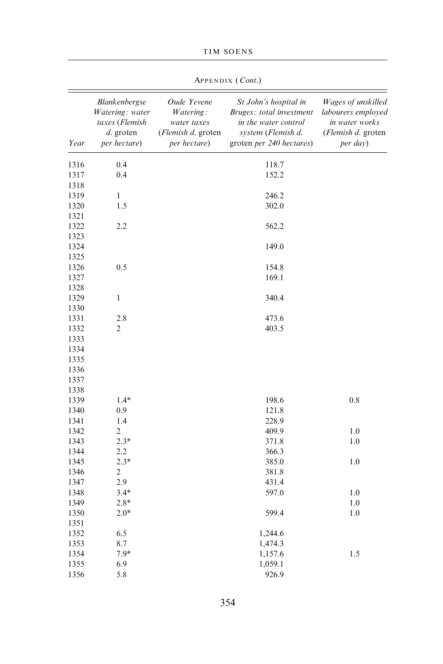|      | APPENDIX ( <i>Cont.</i> )                                                         |                                                                                       |                                                                                                                             |                                                                                                      |  |  |  |
|------|-----------------------------------------------------------------------------------|---------------------------------------------------------------------------------------|-----------------------------------------------------------------------------------------------------------------------------|------------------------------------------------------------------------------------------------------|--|--|--|
| Year | Blankenbergse<br>Watering: water<br>taxes (Flemish<br>$d.$ groten<br>per hectare) | Oude Yevene<br>Watering:<br>water taxes<br>( <i>Flemish d.</i> groten<br>per hectare) | St John's hospital in<br>Bruges: total investment<br>in the water control<br>system (Flemish d.<br>groten per 240 hectares) | Wages of unskilled<br>labourers employed<br>in water works<br>( <i>Flemish d.</i> groten<br>per day) |  |  |  |
| 1316 | 0.4                                                                               |                                                                                       | 118.7                                                                                                                       |                                                                                                      |  |  |  |
| 1317 | 0.4                                                                               |                                                                                       | 152.2                                                                                                                       |                                                                                                      |  |  |  |
| 1318 |                                                                                   |                                                                                       |                                                                                                                             |                                                                                                      |  |  |  |
| 1319 | 1                                                                                 |                                                                                       | 246.2                                                                                                                       |                                                                                                      |  |  |  |
| 1320 | 1.5                                                                               |                                                                                       | 302.0                                                                                                                       |                                                                                                      |  |  |  |
| 1321 |                                                                                   |                                                                                       |                                                                                                                             |                                                                                                      |  |  |  |
| 1322 | 2.2                                                                               |                                                                                       | 562.2                                                                                                                       |                                                                                                      |  |  |  |
| 1323 |                                                                                   |                                                                                       |                                                                                                                             |                                                                                                      |  |  |  |
| 1324 |                                                                                   |                                                                                       | 149.0                                                                                                                       |                                                                                                      |  |  |  |
| 1325 |                                                                                   |                                                                                       |                                                                                                                             |                                                                                                      |  |  |  |
| 1326 | 0.5                                                                               |                                                                                       | 154.8                                                                                                                       |                                                                                                      |  |  |  |
| 1327 |                                                                                   |                                                                                       | 169.1                                                                                                                       |                                                                                                      |  |  |  |
| 1328 |                                                                                   |                                                                                       |                                                                                                                             |                                                                                                      |  |  |  |
| 1329 | $\mathbf{1}$                                                                      |                                                                                       | 340.4                                                                                                                       |                                                                                                      |  |  |  |
| 1330 |                                                                                   |                                                                                       |                                                                                                                             |                                                                                                      |  |  |  |
| 1331 | 2.8                                                                               |                                                                                       | 473.6                                                                                                                       |                                                                                                      |  |  |  |
| 1332 | $\overline{2}$                                                                    |                                                                                       | 403.5                                                                                                                       |                                                                                                      |  |  |  |
| 1333 |                                                                                   |                                                                                       |                                                                                                                             |                                                                                                      |  |  |  |
| 1334 |                                                                                   |                                                                                       |                                                                                                                             |                                                                                                      |  |  |  |
| 1335 |                                                                                   |                                                                                       |                                                                                                                             |                                                                                                      |  |  |  |
| 1336 |                                                                                   |                                                                                       |                                                                                                                             |                                                                                                      |  |  |  |
| 1337 |                                                                                   |                                                                                       |                                                                                                                             |                                                                                                      |  |  |  |
| 1338 |                                                                                   |                                                                                       |                                                                                                                             |                                                                                                      |  |  |  |
| 1339 | $1.4*$                                                                            |                                                                                       | 198.6                                                                                                                       | 0.8                                                                                                  |  |  |  |
| 1340 | 0.9                                                                               |                                                                                       | 121.8                                                                                                                       |                                                                                                      |  |  |  |
| 1341 | 1.4                                                                               |                                                                                       | 228.9                                                                                                                       |                                                                                                      |  |  |  |
| 1342 | $\overline{c}$                                                                    |                                                                                       | 409.9                                                                                                                       | 1.0                                                                                                  |  |  |  |
| 1343 | $2.3*$                                                                            |                                                                                       | 371.8                                                                                                                       | 1.0                                                                                                  |  |  |  |
| 1344 | 2.2                                                                               |                                                                                       | 366.3                                                                                                                       |                                                                                                      |  |  |  |
| 1345 | $2.3*$                                                                            |                                                                                       | 385.0                                                                                                                       | 1.0                                                                                                  |  |  |  |
| 1346 | 2                                                                                 |                                                                                       | 381.8                                                                                                                       |                                                                                                      |  |  |  |
| 1347 | 2.9                                                                               |                                                                                       | 431.4                                                                                                                       |                                                                                                      |  |  |  |
| 1348 | $3.4*$                                                                            |                                                                                       | 597.0                                                                                                                       | $1.0\,$                                                                                              |  |  |  |
| 1349 | $2.8*$                                                                            |                                                                                       |                                                                                                                             | 1.0                                                                                                  |  |  |  |
| 1350 | $2.0*$                                                                            |                                                                                       | 599.4                                                                                                                       | 1.0                                                                                                  |  |  |  |
| 1351 |                                                                                   |                                                                                       |                                                                                                                             |                                                                                                      |  |  |  |
| 1352 | 6.5                                                                               |                                                                                       | 1,244.6                                                                                                                     |                                                                                                      |  |  |  |
| 1353 | 8.7                                                                               |                                                                                       | 1,474.3                                                                                                                     |                                                                                                      |  |  |  |
| 1354 | $7.9*$                                                                            |                                                                                       | 1,157.6                                                                                                                     | 1.5                                                                                                  |  |  |  |
| 1355 | 6.9                                                                               |                                                                                       | 1,059.1                                                                                                                     |                                                                                                      |  |  |  |
| 1356 | 5.8                                                                               |                                                                                       | 926.9                                                                                                                       |                                                                                                      |  |  |  |

 $\Lambda_{\text{BPENN1V}}$  (Cont)

TIM SOENS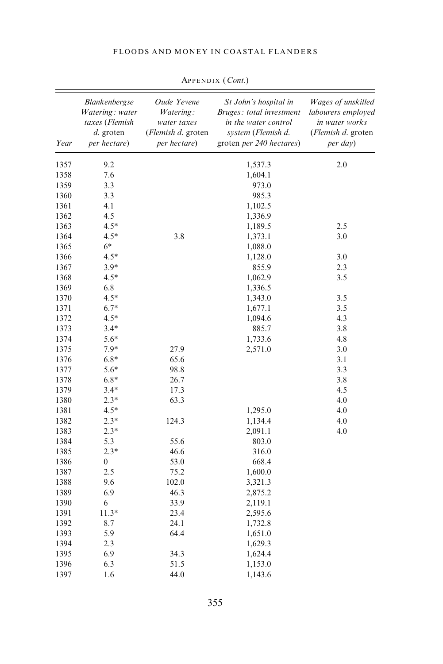| FLOODS AND MONEY IN COASTAL FLANDERS |  |  |  |  |
|--------------------------------------|--|--|--|--|
|--------------------------------------|--|--|--|--|

|      | <b>Blankenbergse</b><br>Watering: water | Oude Yevene<br>Watering:           | St John's hospital in<br>Bruges: total investment             | Wages of unskilled<br>labourers employed |  |
|------|-----------------------------------------|------------------------------------|---------------------------------------------------------------|------------------------------------------|--|
|      | taxes (Flemish                          | water taxes                        | in the water control                                          | in water works                           |  |
| Year | d. groten<br>per hectare)               | (Flemish d. groten<br>per hectare) | system (Flemish d.<br>groten <i>per</i> 240 <i>hectares</i> ) | ( <i>Flemish d.</i> groten<br>per day)   |  |
| 1357 | 9.2                                     |                                    | 1,537.3                                                       | 2.0                                      |  |
| 1358 | 7.6                                     |                                    | 1,604.1                                                       |                                          |  |
| 1359 | 3.3                                     |                                    | 973.0                                                         |                                          |  |
| 1360 | 3.3                                     |                                    | 985.3                                                         |                                          |  |
| 1361 | 4.1                                     |                                    | 1,102.5                                                       |                                          |  |
| 1362 | 4.5                                     |                                    | 1,336.9                                                       |                                          |  |
| 1363 | $4.5*$                                  |                                    | 1,189.5                                                       | 2.5                                      |  |
| 1364 | $4.5*$                                  | 3.8                                | 1,373.1                                                       | 3.0                                      |  |
| 1365 | $6*$                                    |                                    | 1,088.0                                                       |                                          |  |
| 1366 | $4.5*$                                  |                                    | 1,128.0                                                       | 3.0                                      |  |
| 1367 | $3.9*$                                  |                                    | 855.9                                                         | 2.3                                      |  |
| 1368 | $4.5*$                                  |                                    | 1,062.9                                                       | 3.5                                      |  |
| 1369 | 6.8                                     |                                    | 1,336.5                                                       |                                          |  |
| 1370 | $4.5*$                                  |                                    | 1,343.0                                                       | 3.5                                      |  |
| 1371 | $6.7*$                                  |                                    | 1,677.1                                                       | 3.5                                      |  |
| 1372 | $4.5*$                                  |                                    | 1,094.6                                                       | 4.3                                      |  |
| 1373 | $3.4*$                                  |                                    | 885.7                                                         | 3.8                                      |  |
| 1374 | 5.6*                                    |                                    | 1,733.6                                                       | 4.8                                      |  |
| 1375 | $7.9*$                                  | 27.9                               | 2,571.0                                                       | 3.0                                      |  |
| 1376 | $6.8*$                                  | 65.6                               |                                                               | 3.1                                      |  |
| 1377 | 5.6*                                    | 98.8                               |                                                               | 3.3                                      |  |
| 1378 | $6.8*$                                  | 26.7                               |                                                               | 3.8                                      |  |
| 1379 | $3.4*$                                  | 17.3                               |                                                               | 4.5                                      |  |
| 1380 | $2.3*$                                  | 63.3                               |                                                               | 4.0                                      |  |
| 1381 | $4.5*$                                  |                                    | 1,295.0                                                       | 4.0                                      |  |
| 1382 | $2.3*$                                  | 124.3                              | 1,134.4                                                       | 4.0                                      |  |
| 1383 | $2.3*$                                  |                                    | 2,091.1                                                       | 4.0                                      |  |
| 1384 | 5.3                                     | 55.6                               | 803.0                                                         |                                          |  |
| 1385 | $2.3*$                                  | 46.6                               | 316.0                                                         |                                          |  |
| 1386 | $\boldsymbol{0}$                        | 53.0                               | 668.4                                                         |                                          |  |
| 1387 | 2.5                                     | 75.2                               | 1,600.0                                                       |                                          |  |
| 1388 | 9.6                                     | 102.0                              | 3,321.3                                                       |                                          |  |
| 1389 | 6.9                                     | 46.3                               | 2,875.2                                                       |                                          |  |
| 1390 | 6                                       | 33.9                               | 2,119.1                                                       |                                          |  |
| 1391 | $11.3*$                                 | 23.4                               | 2,595.6                                                       |                                          |  |
| 1392 | 8.7                                     | 24.1                               | 1,732.8                                                       |                                          |  |
| 1393 | 5.9                                     | 64.4                               | 1,651.0                                                       |                                          |  |
| 1394 | 2.3                                     |                                    | 1,629.3                                                       |                                          |  |
| 1395 | 6.9                                     | 34.3                               | 1,624.4                                                       |                                          |  |
| 1396 | 6.3                                     | 51.5                               | 1,153.0                                                       |                                          |  |
| 1397 | 1.6                                     | 44.0                               | 1,143.6                                                       |                                          |  |
|      |                                         |                                    |                                                               |                                          |  |

APPENDIX (Cont.)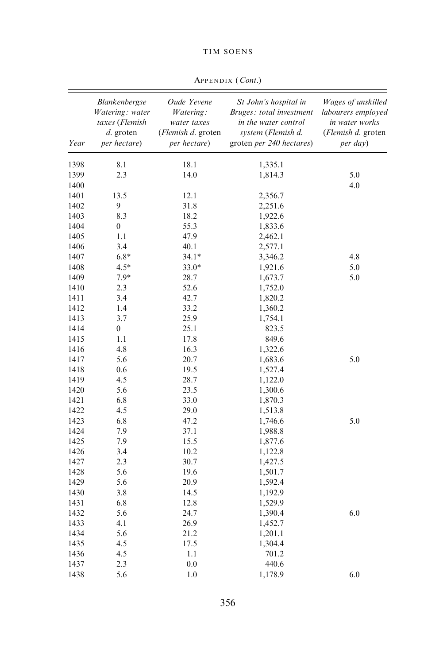|      | APPENDIX (Cont.)                                                                |                                                                               |                                                                                                                             |                                                                                              |  |  |  |
|------|---------------------------------------------------------------------------------|-------------------------------------------------------------------------------|-----------------------------------------------------------------------------------------------------------------------------|----------------------------------------------------------------------------------------------|--|--|--|
| Year | Blankenbergse<br>Watering: water<br>taxes (Flemish<br>d. groten<br>per hectare) | Oude Yevene<br>Watering:<br>water taxes<br>(Flemish d. groten<br>per hectare) | St John's hospital in<br>Bruges: total investment<br>in the water control<br>system (Flemish d.<br>groten per 240 hectares) | Wages of unskilled<br>labourers employed<br>in water works<br>(Flemish d. groten<br>per day) |  |  |  |
| 1398 | 8.1                                                                             | 18.1                                                                          | 1,335.1                                                                                                                     |                                                                                              |  |  |  |
| 1399 | 2.3                                                                             | 14.0                                                                          | 1,814.3                                                                                                                     | 5.0                                                                                          |  |  |  |
| 1400 |                                                                                 |                                                                               |                                                                                                                             | 4.0                                                                                          |  |  |  |
| 1401 | 13.5                                                                            | 12.1                                                                          | 2,356.7                                                                                                                     |                                                                                              |  |  |  |
| 1402 | 9                                                                               | 31.8                                                                          | 2,251.6                                                                                                                     |                                                                                              |  |  |  |
| 1403 | 8.3                                                                             | 18.2                                                                          | 1,922.6                                                                                                                     |                                                                                              |  |  |  |
| 1404 | $\boldsymbol{0}$                                                                | 55.3                                                                          | 1,833.6                                                                                                                     |                                                                                              |  |  |  |
| 1405 | 1.1                                                                             | 47.9                                                                          | 2,462.1                                                                                                                     |                                                                                              |  |  |  |
| 1406 | 3.4                                                                             | 40.1                                                                          | 2,577.1                                                                                                                     |                                                                                              |  |  |  |
| 1407 | $6.8*$                                                                          | $34.1*$                                                                       | 3,346.2                                                                                                                     | 4.8                                                                                          |  |  |  |
| 1408 | $4.5*$                                                                          | $33.0*$                                                                       | 1,921.6                                                                                                                     | 5.0                                                                                          |  |  |  |
| 1409 | $7.9*$                                                                          | 28.7                                                                          | 1,673.7                                                                                                                     | 5.0                                                                                          |  |  |  |
| 1410 | 2.3                                                                             | 52.6                                                                          | 1,752.0                                                                                                                     |                                                                                              |  |  |  |
| 1411 | 3.4                                                                             | 42.7                                                                          | 1,820.2                                                                                                                     |                                                                                              |  |  |  |
| 1412 | 1.4                                                                             | 33.2                                                                          | 1,360.2                                                                                                                     |                                                                                              |  |  |  |
| 1413 | 3.7                                                                             | 25.9                                                                          | 1,754.1                                                                                                                     |                                                                                              |  |  |  |
| 1414 | $\boldsymbol{0}$                                                                | 25.1                                                                          | 823.5                                                                                                                       |                                                                                              |  |  |  |
| 1415 | 1.1                                                                             | 17.8                                                                          | 849.6                                                                                                                       |                                                                                              |  |  |  |
| 1416 | 4.8                                                                             | 16.3                                                                          | 1,322.6                                                                                                                     |                                                                                              |  |  |  |
| 1417 | 5.6                                                                             | 20.7                                                                          | 1,683.6                                                                                                                     | 5.0                                                                                          |  |  |  |
| 1418 | 0.6                                                                             | 19.5                                                                          | 1,527.4                                                                                                                     |                                                                                              |  |  |  |
| 1419 | 4.5                                                                             | 28.7                                                                          | 1,122.0                                                                                                                     |                                                                                              |  |  |  |
| 1420 | 5.6                                                                             | 23.5                                                                          | 1,300.6                                                                                                                     |                                                                                              |  |  |  |
| 1421 | 6.8                                                                             | 33.0                                                                          | 1,870.3                                                                                                                     |                                                                                              |  |  |  |
| 1422 | 4.5                                                                             | 29.0                                                                          | 1,513.8                                                                                                                     |                                                                                              |  |  |  |
| 1423 | 6.8                                                                             | 47.2                                                                          | 1,746.6                                                                                                                     | 5.0                                                                                          |  |  |  |
| 1424 | 7.9                                                                             | 37.1                                                                          | 1,988.8                                                                                                                     |                                                                                              |  |  |  |
| 1425 | 7.9                                                                             | 15.5                                                                          | 1,877.6                                                                                                                     |                                                                                              |  |  |  |
| 1426 | 3.4                                                                             | 10.2                                                                          | 1,122.8                                                                                                                     |                                                                                              |  |  |  |
| 1427 | 2.3                                                                             | 30.7                                                                          | 1,427.5                                                                                                                     |                                                                                              |  |  |  |
| 1428 | 5.6                                                                             | 19.6                                                                          | 1,501.7                                                                                                                     |                                                                                              |  |  |  |
| 1429 | 5.6                                                                             | 20.9                                                                          | 1,592.4                                                                                                                     |                                                                                              |  |  |  |
| 1430 | 3.8                                                                             | 14.5                                                                          | 1,192.9                                                                                                                     |                                                                                              |  |  |  |
| 1431 | 6.8                                                                             | 12.8                                                                          | 1,529.9                                                                                                                     |                                                                                              |  |  |  |
| 1432 | 5.6                                                                             | 24.7                                                                          | 1,390.4                                                                                                                     | 6.0                                                                                          |  |  |  |
| 1433 | 4.1                                                                             | 26.9                                                                          | 1,452.7                                                                                                                     |                                                                                              |  |  |  |
| 1434 | 5.6                                                                             | 21.2                                                                          | 1,201.1                                                                                                                     |                                                                                              |  |  |  |
| 1435 | 4.5                                                                             | 17.5                                                                          | 1,304.4                                                                                                                     |                                                                                              |  |  |  |
| 1436 | 4.5                                                                             | 1.1                                                                           | 701.2                                                                                                                       |                                                                                              |  |  |  |
| 1437 | 2.3                                                                             | 0.0                                                                           | 440.6                                                                                                                       |                                                                                              |  |  |  |
| 1438 | 5.6                                                                             | 1.0                                                                           | 1,178.9                                                                                                                     | 6.0                                                                                          |  |  |  |

TIM SOENS

356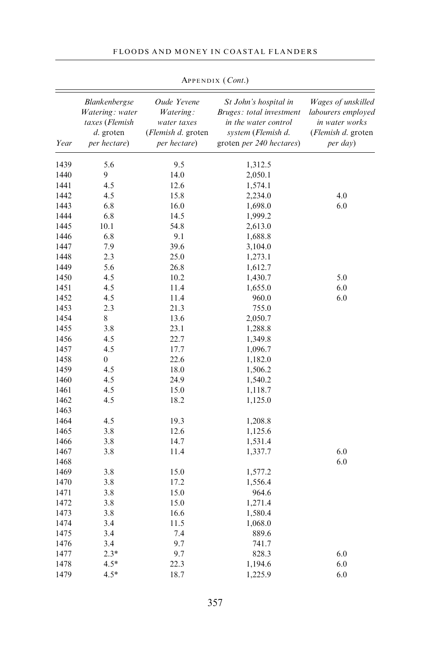#### FLOODS AND MONEY IN COASTAL FLANDERS

| Blankenbergse<br>Oude Yevene<br>St John's hospital in<br>Bruges: total investment<br>Watering: water<br>Watering:<br>taxes (Flemish<br>in water works<br>water taxes<br>in the water control<br>d. groten<br>( <i>Flemish d.</i> groten<br>system (Flemish d.<br>Year<br>per hectare)<br>groten per 240 hectares)<br>per hectare)<br>per day)<br>5.6<br>9.5<br>1439<br>1,312.5<br>9<br>1440<br>14.0<br>2,050.1<br>1441<br>4.5<br>12.6<br>1,574.1<br>4.0<br>1442<br>4.5<br>15.8<br>2,234.0<br>1443<br>6.8<br>16.0<br>6.0<br>1,698.0<br>1444<br>6.8<br>14.5<br>1,999.2<br>10.1<br>54.8<br>1445<br>2,613.0<br>6.8<br>9.1<br>1446<br>1,688.8<br>7.9<br>39.6<br>1447<br>3,104.0<br>1448<br>2.3<br>25.0<br>1,273.1<br>1449<br>5.6<br>26.8<br>1,612.7<br>4.5<br>5.0<br>1450<br>10.2<br>1,430.7<br>4.5<br>6.0<br>1451<br>11.4<br>1,655.0<br>4.5<br>6.0<br>1452<br>11.4<br>960.0<br>2.3<br>1453<br>21.3<br>755.0<br>1454<br>8<br>13.6<br>2,050.7<br>1455<br>3.8<br>23.1<br>1,288.8<br>1456<br>22.7<br>4.5<br>1,349.8<br>1457<br>4.5<br>17.7<br>1,096.7<br>$\boldsymbol{0}$<br>1458<br>22.6<br>1,182.0<br>1459<br>4.5<br>18.0<br>1,506.2<br>1460<br>4.5<br>24.9<br>1,540.2<br>4.5<br>1461<br>15.0<br>1,118.7<br>4.5<br>1462<br>18.2<br>1,125.0<br>1463<br>1464<br>4.5<br>19.3<br>1,208.8<br>12.6<br>1465<br>3.8<br>1,125.6<br>14.7<br>1466<br>3.8<br>1,531.4<br>6.0<br>1467<br>3.8<br>11.4<br>1,337.7<br>6.0<br>1468<br>1469<br>3.8<br>15.0<br>1,577.2<br>1470<br>3.8<br>17.2<br>1,556.4<br>1471<br>3.8<br>15.0<br>964.6<br>1472<br>3.8<br>15.0<br>1,271.4<br>1473<br>3.8<br>16.6<br>1,580.4<br>1474<br>3.4<br>11.5<br>1,068.0<br>1475<br>3.4<br>7.4<br>889.6<br>9.7<br>1476<br>3.4<br>741.7<br>$2.3*$<br>9.7<br>6.0<br>1477<br>828.3<br>22.3<br>6.0<br>1478<br>$4.5*$<br>1,194.6<br>$4.5*$<br>18.7<br>6.0<br>1479<br>1,225.9 |  |  |                                                                        |
|---------------------------------------------------------------------------------------------------------------------------------------------------------------------------------------------------------------------------------------------------------------------------------------------------------------------------------------------------------------------------------------------------------------------------------------------------------------------------------------------------------------------------------------------------------------------------------------------------------------------------------------------------------------------------------------------------------------------------------------------------------------------------------------------------------------------------------------------------------------------------------------------------------------------------------------------------------------------------------------------------------------------------------------------------------------------------------------------------------------------------------------------------------------------------------------------------------------------------------------------------------------------------------------------------------------------------------------------------------------------------------------------------------------------------------------------------------------------------------------------------------------------------------------------------------------------------------------------------------------------------------------------------------------------------------------------------------------------------------------------------------------------------------------------------------------------|--|--|------------------------------------------------------------------------|
|                                                                                                                                                                                                                                                                                                                                                                                                                                                                                                                                                                                                                                                                                                                                                                                                                                                                                                                                                                                                                                                                                                                                                                                                                                                                                                                                                                                                                                                                                                                                                                                                                                                                                                                                                                                                                     |  |  | Wages of unskilled<br>labourers employed<br>( <i>Flemish d.</i> groten |
|                                                                                                                                                                                                                                                                                                                                                                                                                                                                                                                                                                                                                                                                                                                                                                                                                                                                                                                                                                                                                                                                                                                                                                                                                                                                                                                                                                                                                                                                                                                                                                                                                                                                                                                                                                                                                     |  |  |                                                                        |
|                                                                                                                                                                                                                                                                                                                                                                                                                                                                                                                                                                                                                                                                                                                                                                                                                                                                                                                                                                                                                                                                                                                                                                                                                                                                                                                                                                                                                                                                                                                                                                                                                                                                                                                                                                                                                     |  |  |                                                                        |
|                                                                                                                                                                                                                                                                                                                                                                                                                                                                                                                                                                                                                                                                                                                                                                                                                                                                                                                                                                                                                                                                                                                                                                                                                                                                                                                                                                                                                                                                                                                                                                                                                                                                                                                                                                                                                     |  |  |                                                                        |
|                                                                                                                                                                                                                                                                                                                                                                                                                                                                                                                                                                                                                                                                                                                                                                                                                                                                                                                                                                                                                                                                                                                                                                                                                                                                                                                                                                                                                                                                                                                                                                                                                                                                                                                                                                                                                     |  |  |                                                                        |
|                                                                                                                                                                                                                                                                                                                                                                                                                                                                                                                                                                                                                                                                                                                                                                                                                                                                                                                                                                                                                                                                                                                                                                                                                                                                                                                                                                                                                                                                                                                                                                                                                                                                                                                                                                                                                     |  |  |                                                                        |
|                                                                                                                                                                                                                                                                                                                                                                                                                                                                                                                                                                                                                                                                                                                                                                                                                                                                                                                                                                                                                                                                                                                                                                                                                                                                                                                                                                                                                                                                                                                                                                                                                                                                                                                                                                                                                     |  |  |                                                                        |
|                                                                                                                                                                                                                                                                                                                                                                                                                                                                                                                                                                                                                                                                                                                                                                                                                                                                                                                                                                                                                                                                                                                                                                                                                                                                                                                                                                                                                                                                                                                                                                                                                                                                                                                                                                                                                     |  |  |                                                                        |
|                                                                                                                                                                                                                                                                                                                                                                                                                                                                                                                                                                                                                                                                                                                                                                                                                                                                                                                                                                                                                                                                                                                                                                                                                                                                                                                                                                                                                                                                                                                                                                                                                                                                                                                                                                                                                     |  |  |                                                                        |
|                                                                                                                                                                                                                                                                                                                                                                                                                                                                                                                                                                                                                                                                                                                                                                                                                                                                                                                                                                                                                                                                                                                                                                                                                                                                                                                                                                                                                                                                                                                                                                                                                                                                                                                                                                                                                     |  |  |                                                                        |
|                                                                                                                                                                                                                                                                                                                                                                                                                                                                                                                                                                                                                                                                                                                                                                                                                                                                                                                                                                                                                                                                                                                                                                                                                                                                                                                                                                                                                                                                                                                                                                                                                                                                                                                                                                                                                     |  |  |                                                                        |
|                                                                                                                                                                                                                                                                                                                                                                                                                                                                                                                                                                                                                                                                                                                                                                                                                                                                                                                                                                                                                                                                                                                                                                                                                                                                                                                                                                                                                                                                                                                                                                                                                                                                                                                                                                                                                     |  |  |                                                                        |
|                                                                                                                                                                                                                                                                                                                                                                                                                                                                                                                                                                                                                                                                                                                                                                                                                                                                                                                                                                                                                                                                                                                                                                                                                                                                                                                                                                                                                                                                                                                                                                                                                                                                                                                                                                                                                     |  |  |                                                                        |
|                                                                                                                                                                                                                                                                                                                                                                                                                                                                                                                                                                                                                                                                                                                                                                                                                                                                                                                                                                                                                                                                                                                                                                                                                                                                                                                                                                                                                                                                                                                                                                                                                                                                                                                                                                                                                     |  |  |                                                                        |
|                                                                                                                                                                                                                                                                                                                                                                                                                                                                                                                                                                                                                                                                                                                                                                                                                                                                                                                                                                                                                                                                                                                                                                                                                                                                                                                                                                                                                                                                                                                                                                                                                                                                                                                                                                                                                     |  |  |                                                                        |
|                                                                                                                                                                                                                                                                                                                                                                                                                                                                                                                                                                                                                                                                                                                                                                                                                                                                                                                                                                                                                                                                                                                                                                                                                                                                                                                                                                                                                                                                                                                                                                                                                                                                                                                                                                                                                     |  |  |                                                                        |
|                                                                                                                                                                                                                                                                                                                                                                                                                                                                                                                                                                                                                                                                                                                                                                                                                                                                                                                                                                                                                                                                                                                                                                                                                                                                                                                                                                                                                                                                                                                                                                                                                                                                                                                                                                                                                     |  |  |                                                                        |
|                                                                                                                                                                                                                                                                                                                                                                                                                                                                                                                                                                                                                                                                                                                                                                                                                                                                                                                                                                                                                                                                                                                                                                                                                                                                                                                                                                                                                                                                                                                                                                                                                                                                                                                                                                                                                     |  |  |                                                                        |
|                                                                                                                                                                                                                                                                                                                                                                                                                                                                                                                                                                                                                                                                                                                                                                                                                                                                                                                                                                                                                                                                                                                                                                                                                                                                                                                                                                                                                                                                                                                                                                                                                                                                                                                                                                                                                     |  |  |                                                                        |
|                                                                                                                                                                                                                                                                                                                                                                                                                                                                                                                                                                                                                                                                                                                                                                                                                                                                                                                                                                                                                                                                                                                                                                                                                                                                                                                                                                                                                                                                                                                                                                                                                                                                                                                                                                                                                     |  |  |                                                                        |
|                                                                                                                                                                                                                                                                                                                                                                                                                                                                                                                                                                                                                                                                                                                                                                                                                                                                                                                                                                                                                                                                                                                                                                                                                                                                                                                                                                                                                                                                                                                                                                                                                                                                                                                                                                                                                     |  |  |                                                                        |
|                                                                                                                                                                                                                                                                                                                                                                                                                                                                                                                                                                                                                                                                                                                                                                                                                                                                                                                                                                                                                                                                                                                                                                                                                                                                                                                                                                                                                                                                                                                                                                                                                                                                                                                                                                                                                     |  |  |                                                                        |
|                                                                                                                                                                                                                                                                                                                                                                                                                                                                                                                                                                                                                                                                                                                                                                                                                                                                                                                                                                                                                                                                                                                                                                                                                                                                                                                                                                                                                                                                                                                                                                                                                                                                                                                                                                                                                     |  |  |                                                                        |
|                                                                                                                                                                                                                                                                                                                                                                                                                                                                                                                                                                                                                                                                                                                                                                                                                                                                                                                                                                                                                                                                                                                                                                                                                                                                                                                                                                                                                                                                                                                                                                                                                                                                                                                                                                                                                     |  |  |                                                                        |
|                                                                                                                                                                                                                                                                                                                                                                                                                                                                                                                                                                                                                                                                                                                                                                                                                                                                                                                                                                                                                                                                                                                                                                                                                                                                                                                                                                                                                                                                                                                                                                                                                                                                                                                                                                                                                     |  |  |                                                                        |
|                                                                                                                                                                                                                                                                                                                                                                                                                                                                                                                                                                                                                                                                                                                                                                                                                                                                                                                                                                                                                                                                                                                                                                                                                                                                                                                                                                                                                                                                                                                                                                                                                                                                                                                                                                                                                     |  |  |                                                                        |
|                                                                                                                                                                                                                                                                                                                                                                                                                                                                                                                                                                                                                                                                                                                                                                                                                                                                                                                                                                                                                                                                                                                                                                                                                                                                                                                                                                                                                                                                                                                                                                                                                                                                                                                                                                                                                     |  |  |                                                                        |
|                                                                                                                                                                                                                                                                                                                                                                                                                                                                                                                                                                                                                                                                                                                                                                                                                                                                                                                                                                                                                                                                                                                                                                                                                                                                                                                                                                                                                                                                                                                                                                                                                                                                                                                                                                                                                     |  |  |                                                                        |
|                                                                                                                                                                                                                                                                                                                                                                                                                                                                                                                                                                                                                                                                                                                                                                                                                                                                                                                                                                                                                                                                                                                                                                                                                                                                                                                                                                                                                                                                                                                                                                                                                                                                                                                                                                                                                     |  |  |                                                                        |
|                                                                                                                                                                                                                                                                                                                                                                                                                                                                                                                                                                                                                                                                                                                                                                                                                                                                                                                                                                                                                                                                                                                                                                                                                                                                                                                                                                                                                                                                                                                                                                                                                                                                                                                                                                                                                     |  |  |                                                                        |
|                                                                                                                                                                                                                                                                                                                                                                                                                                                                                                                                                                                                                                                                                                                                                                                                                                                                                                                                                                                                                                                                                                                                                                                                                                                                                                                                                                                                                                                                                                                                                                                                                                                                                                                                                                                                                     |  |  |                                                                        |
|                                                                                                                                                                                                                                                                                                                                                                                                                                                                                                                                                                                                                                                                                                                                                                                                                                                                                                                                                                                                                                                                                                                                                                                                                                                                                                                                                                                                                                                                                                                                                                                                                                                                                                                                                                                                                     |  |  |                                                                        |
|                                                                                                                                                                                                                                                                                                                                                                                                                                                                                                                                                                                                                                                                                                                                                                                                                                                                                                                                                                                                                                                                                                                                                                                                                                                                                                                                                                                                                                                                                                                                                                                                                                                                                                                                                                                                                     |  |  |                                                                        |
|                                                                                                                                                                                                                                                                                                                                                                                                                                                                                                                                                                                                                                                                                                                                                                                                                                                                                                                                                                                                                                                                                                                                                                                                                                                                                                                                                                                                                                                                                                                                                                                                                                                                                                                                                                                                                     |  |  |                                                                        |
|                                                                                                                                                                                                                                                                                                                                                                                                                                                                                                                                                                                                                                                                                                                                                                                                                                                                                                                                                                                                                                                                                                                                                                                                                                                                                                                                                                                                                                                                                                                                                                                                                                                                                                                                                                                                                     |  |  |                                                                        |
|                                                                                                                                                                                                                                                                                                                                                                                                                                                                                                                                                                                                                                                                                                                                                                                                                                                                                                                                                                                                                                                                                                                                                                                                                                                                                                                                                                                                                                                                                                                                                                                                                                                                                                                                                                                                                     |  |  |                                                                        |
|                                                                                                                                                                                                                                                                                                                                                                                                                                                                                                                                                                                                                                                                                                                                                                                                                                                                                                                                                                                                                                                                                                                                                                                                                                                                                                                                                                                                                                                                                                                                                                                                                                                                                                                                                                                                                     |  |  |                                                                        |
|                                                                                                                                                                                                                                                                                                                                                                                                                                                                                                                                                                                                                                                                                                                                                                                                                                                                                                                                                                                                                                                                                                                                                                                                                                                                                                                                                                                                                                                                                                                                                                                                                                                                                                                                                                                                                     |  |  |                                                                        |
|                                                                                                                                                                                                                                                                                                                                                                                                                                                                                                                                                                                                                                                                                                                                                                                                                                                                                                                                                                                                                                                                                                                                                                                                                                                                                                                                                                                                                                                                                                                                                                                                                                                                                                                                                                                                                     |  |  |                                                                        |
|                                                                                                                                                                                                                                                                                                                                                                                                                                                                                                                                                                                                                                                                                                                                                                                                                                                                                                                                                                                                                                                                                                                                                                                                                                                                                                                                                                                                                                                                                                                                                                                                                                                                                                                                                                                                                     |  |  |                                                                        |
|                                                                                                                                                                                                                                                                                                                                                                                                                                                                                                                                                                                                                                                                                                                                                                                                                                                                                                                                                                                                                                                                                                                                                                                                                                                                                                                                                                                                                                                                                                                                                                                                                                                                                                                                                                                                                     |  |  |                                                                        |
|                                                                                                                                                                                                                                                                                                                                                                                                                                                                                                                                                                                                                                                                                                                                                                                                                                                                                                                                                                                                                                                                                                                                                                                                                                                                                                                                                                                                                                                                                                                                                                                                                                                                                                                                                                                                                     |  |  |                                                                        |

APPENDIX (Cont.)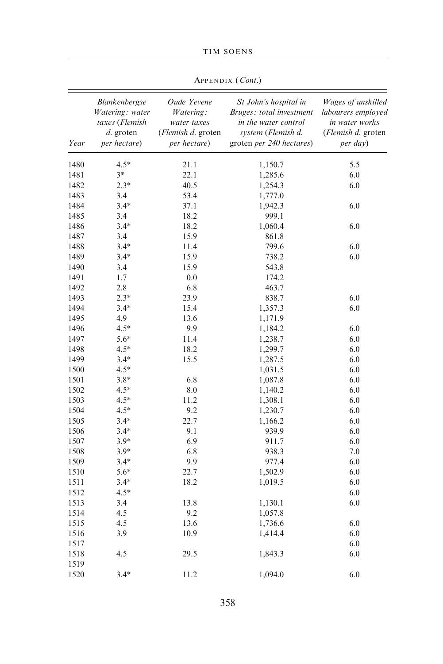|      | APPENDIX (Cont.)                                                                  |                                                                               |                                                                                                                             |                                                                                              |  |  |  |
|------|-----------------------------------------------------------------------------------|-------------------------------------------------------------------------------|-----------------------------------------------------------------------------------------------------------------------------|----------------------------------------------------------------------------------------------|--|--|--|
| Year | Blankenbergse<br>Watering: water<br>taxes (Flemish<br>$d.$ groten<br>per hectare) | Oude Yevene<br>Watering:<br>water taxes<br>(Flemish d. groten<br>per hectare) | St John's hospital in<br>Bruges: total investment<br>in the water control<br>system (Flemish d.<br>groten per 240 hectares) | Wages of unskilled<br>labourers employed<br>in water works<br>(Flemish d. groten<br>per day) |  |  |  |
| 1480 | $4.5*$                                                                            | 21.1                                                                          | 1,150.7                                                                                                                     | 5.5                                                                                          |  |  |  |
| 1481 | $3*$                                                                              | 22.1                                                                          | 1,285.6                                                                                                                     | 6.0                                                                                          |  |  |  |
| 1482 | $2.3*$                                                                            | 40.5                                                                          | 1,254.3                                                                                                                     | 6.0                                                                                          |  |  |  |
| 1483 | 3.4                                                                               | 53.4                                                                          | 1,777.0                                                                                                                     |                                                                                              |  |  |  |
| 1484 | $3.4*$                                                                            | 37.1                                                                          | 1,942.3                                                                                                                     | 6.0                                                                                          |  |  |  |
| 1485 | 3.4                                                                               | 18.2                                                                          | 999.1                                                                                                                       |                                                                                              |  |  |  |
| 1486 | $3.4*$                                                                            | 18.2                                                                          | 1,060.4                                                                                                                     | 6.0                                                                                          |  |  |  |
| 1487 | 3.4                                                                               | 15.9                                                                          | 861.8                                                                                                                       |                                                                                              |  |  |  |
| 1488 | $3.4*$                                                                            | 11.4                                                                          | 799.6                                                                                                                       | 6.0                                                                                          |  |  |  |
| 1489 | $3.4*$                                                                            | 15.9                                                                          | 738.2                                                                                                                       | 6.0                                                                                          |  |  |  |
| 1490 | 3.4                                                                               | 15.9                                                                          | 543.8                                                                                                                       |                                                                                              |  |  |  |
| 1491 | 1.7                                                                               | 0.0                                                                           | 174.2                                                                                                                       |                                                                                              |  |  |  |
| 1492 | 2.8                                                                               | 6.8                                                                           | 463.7                                                                                                                       |                                                                                              |  |  |  |
| 1493 | $2.3*$                                                                            | 23.9                                                                          | 838.7                                                                                                                       | 6.0                                                                                          |  |  |  |
| 1494 | $3.4*$                                                                            | 15.4                                                                          | 1,357.3                                                                                                                     | 6.0                                                                                          |  |  |  |
| 1495 | 4.9                                                                               | 13.6                                                                          | 1,171.9                                                                                                                     |                                                                                              |  |  |  |
| 1496 | $4.5*$                                                                            | 9.9                                                                           | 1,184.2                                                                                                                     | 6.0                                                                                          |  |  |  |
| 1497 | 5.6*                                                                              | 11.4                                                                          | 1,238.7                                                                                                                     | 6.0                                                                                          |  |  |  |
| 1498 | $4.5*$                                                                            | 18.2                                                                          | 1,299.7                                                                                                                     | 6.0                                                                                          |  |  |  |
| 1499 | $3.4*$                                                                            | 15.5                                                                          | 1,287.5                                                                                                                     | 6.0                                                                                          |  |  |  |
| 1500 | $4.5*$                                                                            |                                                                               | 1,031.5                                                                                                                     | 6.0                                                                                          |  |  |  |
| 1501 | $3.8*$                                                                            | 6.8                                                                           | 1,087.8                                                                                                                     | 6.0                                                                                          |  |  |  |
| 1502 | $4.5*$                                                                            | 8.0                                                                           | 1,140.2                                                                                                                     | 6.0                                                                                          |  |  |  |
| 1503 | $4.5*$                                                                            | 11.2                                                                          | 1,308.1                                                                                                                     | 6.0                                                                                          |  |  |  |
| 1504 | $4.5*$                                                                            | 9.2                                                                           | 1,230.7                                                                                                                     | 6.0                                                                                          |  |  |  |
| 1505 | $3.4*$                                                                            | 22.7                                                                          | 1,166.2                                                                                                                     | 6.0                                                                                          |  |  |  |
| 1506 | $3.4*$                                                                            | 9.1                                                                           | 939.9                                                                                                                       | 6.0                                                                                          |  |  |  |
| 1507 | $3.9*$                                                                            | 6.9                                                                           | 911.7                                                                                                                       | 6.0                                                                                          |  |  |  |
| 1508 | $3.9*$                                                                            | 6.8                                                                           | 938.3                                                                                                                       | 7.0                                                                                          |  |  |  |
| 1509 | $3.4*$                                                                            | 9.9                                                                           | 977.4                                                                                                                       | 6.0                                                                                          |  |  |  |
| 1510 | 5.6*                                                                              | 22.7                                                                          | 1,502.9                                                                                                                     | 6.0                                                                                          |  |  |  |
| 1511 | $3.4*$                                                                            | 18.2                                                                          | 1,019.5                                                                                                                     | 6.0                                                                                          |  |  |  |
| 1512 | $4.5*$                                                                            |                                                                               |                                                                                                                             | 6.0                                                                                          |  |  |  |
| 1513 | 3.4                                                                               | 13.8                                                                          | 1,130.1                                                                                                                     | 6.0                                                                                          |  |  |  |
| 1514 | 4.5                                                                               | 9.2                                                                           | 1,057.8                                                                                                                     |                                                                                              |  |  |  |
| 1515 | 4.5                                                                               | 13.6                                                                          | 1,736.6                                                                                                                     | 6.0                                                                                          |  |  |  |
| 1516 | 3.9                                                                               | 10.9                                                                          | 1,414.4                                                                                                                     | 6.0                                                                                          |  |  |  |
| 1517 |                                                                                   |                                                                               |                                                                                                                             | 6.0                                                                                          |  |  |  |
| 1518 | 4.5                                                                               | 29.5                                                                          | 1,843.3                                                                                                                     | 6.0                                                                                          |  |  |  |
| 1519 |                                                                                   |                                                                               |                                                                                                                             |                                                                                              |  |  |  |
| 1520 | $3.4*$                                                                            | 11.2                                                                          | 1,094.0                                                                                                                     | 6.0                                                                                          |  |  |  |

TIM SOENS

358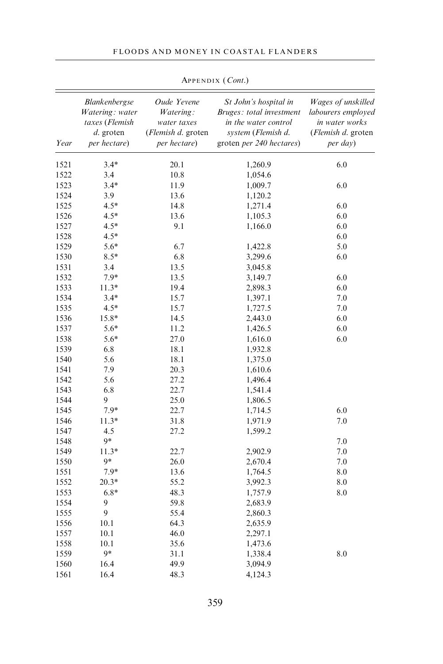#### FLOODS AND MONEY IN COASTAL FLANDERS

| Year | <b>Blankenbergse</b><br>Watering: water<br>taxes (Flemish<br>$d.$ groten<br>per hectare) | Oude Yevene<br>Watering:<br>water taxes<br>(Flemish d. groten<br>per hectare) | St John's hospital in<br>Bruges: total investment<br>in the water control<br>system (Flemish d.<br>groten per 240 hectares) | Wages of unskilled<br>labourers employed<br>in water works<br>(Flemish d. groten<br>per day) |
|------|------------------------------------------------------------------------------------------|-------------------------------------------------------------------------------|-----------------------------------------------------------------------------------------------------------------------------|----------------------------------------------------------------------------------------------|
| 1521 | $3.4*$                                                                                   | 20.1                                                                          | 1,260.9                                                                                                                     | 6.0                                                                                          |
| 1522 | 3.4                                                                                      | 10.8                                                                          | 1,054.6                                                                                                                     |                                                                                              |
| 1523 | $3.4*$                                                                                   | 11.9                                                                          | 1,009.7                                                                                                                     | 6.0                                                                                          |
| 1524 | 3.9                                                                                      | 13.6                                                                          | 1,120.2                                                                                                                     |                                                                                              |
| 1525 | $4.5*$                                                                                   | 14.8                                                                          | 1,271.4                                                                                                                     | 6.0                                                                                          |
| 1526 | $4.5*$                                                                                   | 13.6                                                                          | 1,105.3                                                                                                                     | 6.0                                                                                          |
| 1527 | $4.5*$                                                                                   | 9.1                                                                           | 1,166.0                                                                                                                     | 6.0                                                                                          |
| 1528 | $4.5*$                                                                                   |                                                                               |                                                                                                                             | 6.0                                                                                          |
| 1529 | 5.6*                                                                                     | 6.7                                                                           | 1,422.8                                                                                                                     | 5.0                                                                                          |
| 1530 | $8.5*$                                                                                   | 6.8                                                                           | 3,299.6                                                                                                                     | 6.0                                                                                          |
| 1531 | 3.4                                                                                      | 13.5                                                                          | 3,045.8                                                                                                                     |                                                                                              |
| 1532 | 7.9*                                                                                     | 13.5                                                                          | 3,149.7                                                                                                                     | 6.0                                                                                          |
| 1533 | $11.3*$                                                                                  | 19.4                                                                          | 2,898.3                                                                                                                     | 6.0                                                                                          |
| 1534 | $3.4*$                                                                                   | 15.7                                                                          | 1,397.1                                                                                                                     | 7.0                                                                                          |
| 1535 | $4.5*$                                                                                   | 15.7                                                                          | 1,727.5                                                                                                                     | 7.0                                                                                          |
| 1536 | 15.8*                                                                                    | 14.5                                                                          | 2,443.0                                                                                                                     | 6.0                                                                                          |
| 1537 | 5.6*                                                                                     | 11.2                                                                          | 1,426.5                                                                                                                     | 6.0                                                                                          |
| 1538 | 5.6*                                                                                     | 27.0                                                                          | 1,616.0                                                                                                                     | 6.0                                                                                          |
| 1539 | 6.8                                                                                      | 18.1                                                                          | 1,932.8                                                                                                                     |                                                                                              |
| 1540 | 5.6                                                                                      | 18.1                                                                          | 1,375.0                                                                                                                     |                                                                                              |
| 1541 | 7.9                                                                                      | 20.3                                                                          | 1,610.6                                                                                                                     |                                                                                              |
| 1542 | 5.6                                                                                      | 27.2                                                                          | 1,496.4                                                                                                                     |                                                                                              |
| 1543 | 6.8                                                                                      | 22.7                                                                          | 1,541.4                                                                                                                     |                                                                                              |
| 1544 | 9                                                                                        | 25.0                                                                          | 1,806.5                                                                                                                     |                                                                                              |
| 1545 | 7.9*                                                                                     | 22.7                                                                          | 1,714.5                                                                                                                     | 6.0                                                                                          |
| 1546 | $11.3*$                                                                                  | 31.8                                                                          | 1,971.9                                                                                                                     | 7.0                                                                                          |
| 1547 | 4.5                                                                                      | 27.2                                                                          | 1,599.2                                                                                                                     |                                                                                              |
| 1548 | 9*                                                                                       |                                                                               |                                                                                                                             | 7.0                                                                                          |
| 1549 | $11.3*$                                                                                  | 22.7                                                                          | 2,902.9                                                                                                                     | 7.0                                                                                          |
| 1550 | 9*                                                                                       | 26.0                                                                          | 2,670.4                                                                                                                     | 7.0                                                                                          |
| 1551 | 7.9*                                                                                     | 13.6                                                                          | 1,764.5                                                                                                                     | 8.0                                                                                          |
| 1552 | $20.3*$                                                                                  | 55.2                                                                          | 3,992.3                                                                                                                     | 8.0                                                                                          |
| 1553 | $6.8*$                                                                                   | 48.3                                                                          | 1,757.9                                                                                                                     | 8.0                                                                                          |
| 1554 | 9                                                                                        | 59.8                                                                          | 2,683.9                                                                                                                     |                                                                                              |
| 1555 | 9                                                                                        | 55.4                                                                          | 2,860.3                                                                                                                     |                                                                                              |
| 1556 | 10.1                                                                                     | 64.3                                                                          | 2,635.9                                                                                                                     |                                                                                              |
| 1557 | 10.1                                                                                     | 46.0                                                                          | 2,297.1                                                                                                                     |                                                                                              |
| 1558 | 10.1                                                                                     | 35.6                                                                          | 1,473.6                                                                                                                     |                                                                                              |
| 1559 | 9*                                                                                       | 31.1                                                                          | 1,338.4                                                                                                                     | 8.0                                                                                          |
| 1560 | 16.4                                                                                     | 49.9                                                                          | 3,094.9                                                                                                                     |                                                                                              |
| 1561 | 16.4                                                                                     | 48.3                                                                          | 4,124.3                                                                                                                     |                                                                                              |
|      |                                                                                          |                                                                               |                                                                                                                             |                                                                                              |

APPENDIX (Cont.)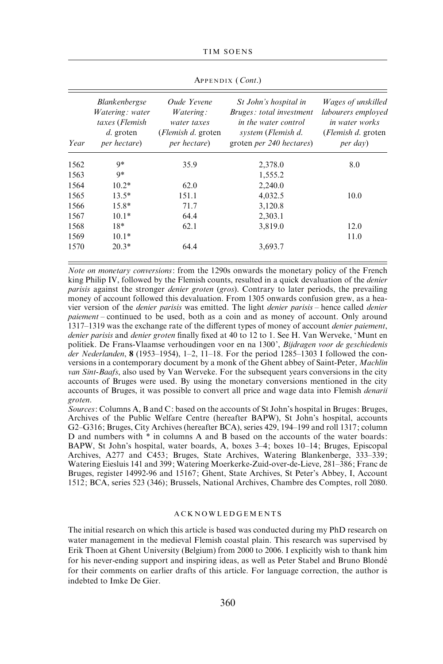| Year | <b>Blankenbergse</b><br>Watering: water<br>taxes (Flemish<br>$d.$ groten<br>per hectare) | Oude Yevene<br><i>Watering:</i><br>water taxes<br>( <i>Flemish d.</i> groten<br>per hectare) | St John's hospital in<br>Bruges: total investment<br>in the water control<br>system (Flemish d.<br>groten per 240 hectares) | Wages of unskilled<br>labourers employed<br><i>in water works</i><br>( <i>Flemish d.</i> groten<br>per day) |
|------|------------------------------------------------------------------------------------------|----------------------------------------------------------------------------------------------|-----------------------------------------------------------------------------------------------------------------------------|-------------------------------------------------------------------------------------------------------------|
| 1562 | 9*                                                                                       | 35.9                                                                                         | 2,378.0                                                                                                                     | 8.0                                                                                                         |
| 1563 | 9*                                                                                       |                                                                                              | 1,555.2                                                                                                                     |                                                                                                             |
| 1564 | $10.2*$                                                                                  | 62.0                                                                                         | 2,240.0                                                                                                                     |                                                                                                             |
| 1565 | $13.5*$                                                                                  | 151.1                                                                                        | 4,032.5                                                                                                                     | 10.0                                                                                                        |
| 1566 | $15.8*$                                                                                  | 71.7                                                                                         | 3,120.8                                                                                                                     |                                                                                                             |
| 1567 | $10.1*$                                                                                  | 64.4                                                                                         | 2,303.1                                                                                                                     |                                                                                                             |
| 1568 | $18*$                                                                                    | 62.1                                                                                         | 3,819.0                                                                                                                     | 12.0                                                                                                        |
| 1569 | $10.1*$                                                                                  |                                                                                              |                                                                                                                             | 11.0                                                                                                        |
| 1570 | $20.3*$                                                                                  | 64.4                                                                                         | 3,693.7                                                                                                                     |                                                                                                             |

APPENDIX (Cont.)

Note on monetary conversions: from the 1290s onwards the monetary policy of the French king Philip IV, followed by the Flemish counts, resulted in a quick devaluation of the *denier* parisis against the stronger denier groten (gros). Contrary to later periods, the prevailing money of account followed this devaluation. From 1305 onwards confusion grew, as a heavier version of the denier parisis was emitted. The light denier parisis – hence called denier paiement – continued to be used, both as a coin and as money of account. Only around 1317–1319 was the exchange rate of the different types of money of account denier paiement, denier parisis and denier groten finally fixed at 40 to 12 to 1. See H. Van Werveke, 'Munt en politiek. De Frans-Vlaamse verhoudingen voor en na 1300', Bijdragen voor de geschiedenis der Nederlanden, 8 (1953–1954), 1-2, 11-18. For the period  $1285-1303$  I followed the conversions in a contemporary document by a monk of the Ghent abbey of Saint-Peter, Machlin van Sint-Baafs, also used by Van Werveke. For the subsequent years conversions in the city accounts of Bruges were used. By using the monetary conversions mentioned in the city accounts of Bruges, it was possible to convert all price and wage data into Flemish denarii groten.

Sources: Columns A, B and C: based on the accounts of St John's hospital in Bruges: Bruges, Archives of the Public Welfare Centre (hereafter BAPW), St John's hospital, accounts G2–G316; Bruges, City Archives (hereafter BCA), series 429, 194–199 and roll 1317; column D and numbers with \* in columns A and B based on the accounts of the water boards: BAPW, St John's hospital, water boards, A, boxes 3–4; boxes 10–14; Bruges, Episcopal Archives, A277 and C453; Bruges, State Archives, Watering Blankenberge, 333–339; Watering Eiesluis 141 and 399; Watering Moerkerke-Zuid-over-de-Lieve, 281–386; Franc de Bruges, register 14992-96 and 15167; Ghent, State Archives, St Peter's Abbey, I, Account 1512; BCA, series 523 (346); Brussels, National Archives, Chambre des Comptes, roll 2080.

#### ACKNOWLEDGEMENTS

The initial research on which this article is based was conducted during my PhD research on water management in the medieval Flemish coastal plain. This research was supervised by Erik Thoen at Ghent University (Belgium) from 2000 to 2006. I explicitly wish to thank him for his never-ending support and inspiring ideas, as well as Peter Stabel and Bruno Blonde´ for their comments on earlier drafts of this article. For language correction, the author is indebted to Imke De Gier.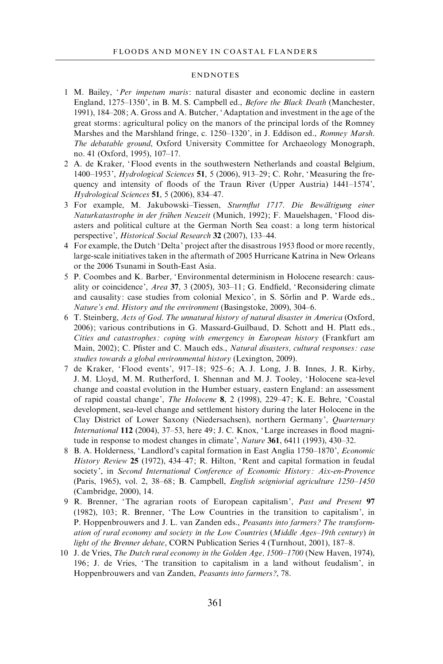#### ENDNOTES

- 1 M. Bailey, 'Per impetum maris: natural disaster and economic decline in eastern England, 1275–1350', in B. M. S. Campbell ed., Before the Black Death (Manchester, 1991), 184–208; A. Gross and A. Butcher, 'Adaptation and investment in the age of the great storms: agricultural policy on the manors of the principal lords of the Romney Marshes and the Marshland fringe, c. 1250–1320', in J. Eddison ed., Romney Marsh. The debatable ground, Oxford University Committee for Archaeology Monograph, no. 41 (Oxford, 1995), 107–17.
- 2 A. de Kraker, 'Flood events in the southwestern Netherlands and coastal Belgium, 1400–1953', Hydrological Sciences 51, 5 (2006), 913–29; C. Rohr, 'Measuring the frequency and intensity of floods of the Traun River (Upper Austria) 1441–1574', Hydrological Sciences 51, 5 (2006), 834–47.
- 3 For example, M. Jakubowski–Tiessen, Sturmflut 1717. Die Bewältigung einer Naturkatastrophe in der frühen Neuzeit (Munich, 1992); F. Mauelshagen, 'Flood disasters and political culture at the German North Sea coast: a long term historical perspective', Historical Social Research 32 (2007), 133-44.
- 4 For example, the Dutch 'Delta' project after the disastrous 1953 flood or more recently, large-scale initiatives taken in the aftermath of 2005 Hurricane Katrina in New Orleans or the 2006 Tsunami in South-East Asia.
- 5 P. Coombes and K. Barber, 'Environmental determinism in Holocene research: causality or coincidence', Area 37, 3 (2005), 303–11; G. Endfield, 'Reconsidering climate and causality: case studies from colonial Mexico', in S. Sörlin and P. Warde eds., Nature's end. History and the environment (Basingstoke, 2009), 304–6.
- 6 T. Steinberg, Acts of God. The unnatural history of natural disaster in America (Oxford, 2006); various contributions in G. Massard-Guilbaud, D. Schott and H. Platt eds., Cities and catastrophes : coping with emergency in European history (Frankfurt am Main, 2002); C. Pfister and C. Mauch eds., Natural disasters, cultural responses: case studies towards a global environmental history (Lexington, 2009).
- 7 de Kraker, 'Flood events', 917–18; 925–6; A. J. Long, J. B. Innes, J. R. Kirby, J. M. Lloyd, M. M. Rutherford, I. Shennan and M. J. Tooley, 'Holocene sea-level change and coastal evolution in the Humber estuary, eastern England: an assessment of rapid coastal change', The Holocene 8, 2 (1998), 229–47; K. E. Behre, 'Coastal development, sea-level change and settlement history during the later Holocene in the Clay District of Lower Saxony (Niedersachsen), northern Germany', Quarternary International 112 (2004), 37–53, here 49; J. C. Knox, 'Large increases in flood magnitude in response to modest changes in climate', *Nature* 361, 6411 (1993), 430–32.
- 8 B. A. Holderness, 'Landlord's capital formation in East Anglia 1750–1870', Economic History Review 25 (1972), 434-47; R. Hilton, 'Rent and capital formation in feudal society', in Second International Conference of Economic History: Aix-en-Provence (Paris, 1965), vol. 2, 38–68; B. Campbell, English seigniorial agriculture 1250–1450 (Cambridge, 2000), 14.
- 9 R. Brenner, 'The agrarian roots of European capitalism', Past and Present 97 (1982), 103; R. Brenner, 'The Low Countries in the transition to capitalism', in P. Hoppenbrouwers and J. L. van Zanden eds., Peasants into farmers? The transformation of rural economy and society in the Low Countries (Middle Ages–19th century) in light of the Brenner debate, CORN Publication Series 4 (Turnhout, 2001), 187–8.
- 10 J. de Vries, The Dutch rural economy in the Golden Age, 1500–1700 (New Haven, 1974), 196; J. de Vries, 'The transition to capitalism in a land without feudalism', in Hoppenbrouwers and van Zanden, Peasants into farmers ?, 78.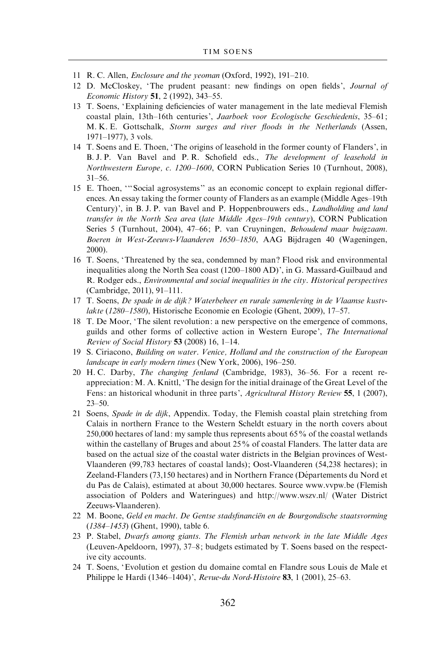- 11 R. C. Allen, *Enclosure and the yeoman* (Oxford, 1992), 191-210.
- 12 D. McCloskey, 'The prudent peasant: new findings on open fields', Journal of Economic History 51, 2 (1992), 343–55.
- 13 T. Soens, 'Explaining deficiencies of water management in the late medieval Flemish coastal plain, 13th–16th centuries', Jaarboek voor Ecologische Geschiedenis, 35–61; M. K. E. Gottschalk, Storm surges and river floods in the Netherlands (Assen, 1971–1977), 3 vols.
- 14 T. Soens and E. Thoen, 'The origins of leasehold in the former county of Flanders', in B. J. P. Van Bavel and P. R. Schofield eds., The development of leasehold in Northwestern Europe, c. 1200–1600, CORN Publication Series 10 (Turnhout, 2008), 31–56.
- 15 E. Thoen, '''Social agrosystems'' as an economic concept to explain regional differences. An essay taking the former county of Flanders as an example (Middle Ages–19th Century)', in B. J. P. van Bavel and P. Hoppenbrouwers eds., Landholding and land transfer in the North Sea area (late Middle Ages–19th century), CORN Publication Series 5 (Turnhout, 2004), 47–66; P. van Cruyningen, Behoudend maar buigzaam. Boeren in West-Zeeuws-Vlaanderen 1650–1850, AAG Bijdragen 40 (Wageningen, 2000).
- 16 T. Soens, 'Threatened by the sea, condemned by man? Flood risk and environmental inequalities along the North Sea coast (1200–1800 AD)', in G. Massard-Guilbaud and R. Rodger eds., Environmental and social inequalities in the city. Historical perspectives (Cambridge, 2011), 91–111.
- 17 T. Soens, De spade in de dijk ? Waterbeheer en rurale samenleving in de Vlaamse kustvlakte (1280–1580), Historische Economie en Ecologie (Ghent, 2009), 17–57.
- 18 T. De Moor, 'The silent revolution: a new perspective on the emergence of commons, guilds and other forms of collective action in Western Europe', The International Review of Social History 53 (2008) 16, 1-14.
- 19 S. Ciriacono, Building on water. Venice, Holland and the construction of the European landscape in early modern times (New York, 2006), 196–250.
- 20 H. C. Darby, The changing fenland (Cambridge, 1983), 36–56. For a recent reappreciation: M. A. Knittl, 'The design for the initial drainage of the Great Level of the Fens: an historical whodunit in three parts', Agricultural History Review 55, 1 (2007), 23–50.
- 21 Soens, Spade in de dijk, Appendix. Today, the Flemish coastal plain stretching from Calais in northern France to the Western Scheldt estuary in the north covers about 250,000 hectares of land: my sample thus represents about 65% of the coastal wetlands within the castellany of Bruges and about 25% of coastal Flanders. The latter data are based on the actual size of the coastal water districts in the Belgian provinces of West-Vlaanderen (99,783 hectares of coastal lands); Oost-Vlaanderen (54,238 hectares); in Zeeland-Flanders (73,150 hectares) and in Northern France (Départements du Nord et du Pas de Calais), estimated at about 30,000 hectares. Source www.vvpw.be (Flemish association of Polders and Wateringues) and http://www.wszv.nl/ (Water District Zeeuws-Vlaanderen).
- 22 M. Boone, Geld en macht. De Gentse stadsfinanciën en de Bourgondische staatsvorming (1384–1453) (Ghent, 1990), table 6.
- 23 P. Stabel, Dwarfs among giants. The Flemish urban network in the late Middle Ages (Leuven-Apeldoorn, 1997), 37–8; budgets estimated by T. Soens based on the respective city accounts.
- 24 T. Soens, 'Evolution et gestion du domaine comtal en Flandre sous Louis de Male et Philippe le Hardi (1346–1404)', Revue-du Nord-Histoire 83, 1 (2001), 25–63.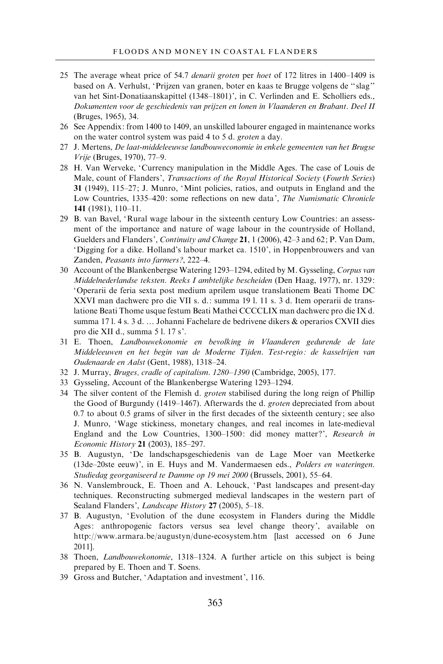- 25 The average wheat price of 54.7 denarii groten per hoet of 172 litres in 1400–1409 is based on A. Verhulst, 'Prijzen van granen, boter en kaas te Brugge volgens de '' slag'' van het Sint-Donatiaanskapittel (1348–1801)', in C. Verlinden and E. Scholliers eds., Dokumenten voor de geschiedenis van prijzen en lonen in Vlaanderen en Brabant. Deel II (Bruges, 1965), 34.
- 26 See Appendix: from 1400 to 1409, an unskilled labourer engaged in maintenance works on the water control system was paid 4 to 5 d. groten a day.
- 27 J. Mertens, De laat-middeleeuwse landbouweconomie in enkele gemeenten van het Brugse Vrije (Bruges, 1970), 77–9.
- 28 H. Van Werveke, 'Currency manipulation in the Middle Ages. The case of Louis de Male, count of Flanders', Transactions of the Royal Historical Society (Fourth Series) 31 (1949), 115–27; J. Munro, 'Mint policies, ratios, and outputs in England and the Low Countries, 1335–420: some reflections on new data', The Numismatic Chronicle 141 (1981), 110–11.
- 29 B. van Bavel, 'Rural wage labour in the sixteenth century Low Countries: an assessment of the importance and nature of wage labour in the countryside of Holland, Guelders and Flanders', Continuity and Change 21, 1 (2006), 42–3 and 62; P. Van Dam, 'Digging for a dike. Holland's labour market ca. 1510', in Hoppenbrouwers and van Zanden, Peasants into farmers?, 222–4.
- 30 Account of the Blankenbergse Watering 1293–1294, edited by M. Gysseling, Corpus van Middelnederlandse teksten. Reeks I ambtelijke bescheiden (Den Haag, 1977), nr. 1329: 'Operarii de feria sexta post medium aprilem usque translationem Beati Thome DC XXVI man dachwerc pro die VII s. d.: summa 19 l. 11 s. 3 d. Item operarii de translatione Beati Thome usque festum Beati Mathei CCCCLIX man dachwerc pro die IX d. summa 17 l. 4 s. 3 d. … Johanni Fachelare de bedrivene dikers & operarios CXVII dies pro die XII d., summa 5 l. 17 s'.
- 31 E. Thoen, Landbouwekonomie en bevolking in Vlaanderen gedurende de late Middeleeuwen en het begin van de Moderne Tijden. Test-regio : de kasselrijen van Oudenaarde en Aalst (Gent, 1988), 1318–24.
- 32 J. Murray, Bruges, cradle of capitalism. 1280–1390 (Cambridge, 2005), 177.
- 33 Gysseling, Account of the Blankenbergse Watering 1293–1294.
- 34 The silver content of the Flemish d. *groten* stabilised during the long reign of Phillip the Good of Burgundy (1419–1467). Afterwards the d. groten depreciated from about 0.7 to about 0.5 grams of silver in the first decades of the sixteenth century; see also J. Munro, 'Wage stickiness, monetary changes, and real incomes in late-medieval England and the Low Countries, 1300-1500: did money matter?', Research in Economic History 21 (2003), 185–297.
- 35 B. Augustyn, 'De landschapsgeschiedenis van de Lage Moer van Meetkerke (13de–20ste eeuw)', in E. Huys and M. Vandermaesen eds., Polders en wateringen. Studiedag georganiseerd te Damme op 19 mei 2000 (Brussels, 2001), 55–64.
- 36 N. Vanslembrouck, E. Thoen and A. Lehouck, 'Past landscapes and present-day techniques. Reconstructing submerged medieval landscapes in the western part of Sealand Flanders', *Landscape History* 27 (2005), 5-18.
- 37 B. Augustyn, 'Evolution of the dune ecosystem in Flanders during the Middle Ages: anthropogenic factors versus sea level change theory', available on http://www.armara.be/augustyn/dune-ecosystem.htm [last accessed on 6 June 2011].
- 38 Thoen, Landbouwekonomie, 1318–1324. A further article on this subject is being prepared by E. Thoen and T. Soens.
- 39 Gross and Butcher, 'Adaptation and investment', 116.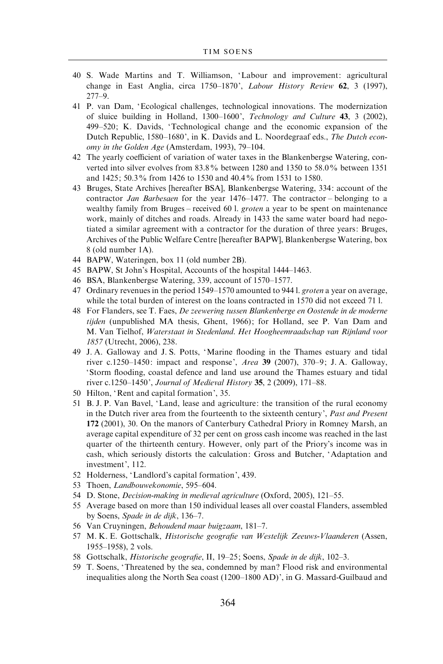- 40 S. Wade Martins and T. Williamson, 'Labour and improvement: agricultural change in East Anglia, circa 1750–1870', Labour History Review 62, 3 (1997), 277–9.
- 41 P. van Dam, 'Ecological challenges, technological innovations. The modernization of sluice building in Holland, 1300–1600', Technology and Culture 43, 3 (2002), 499–520; K. Davids, 'Technological change and the economic expansion of the Dutch Republic, 1580–1680', in K. Davids and L. Noordegraaf eds., The Dutch economy in the Golden Age (Amsterdam, 1993), 79–104.
- 42 The yearly coefficient of variation of water taxes in the Blankenbergse Watering, converted into silver evolves from 83.8% between 1280 and 1350 to 58.0% between 1351 and 1425; 50.3% from 1426 to 1530 and 40.4% from 1531 to 1580.
- 43 Bruges, State Archives [hereafter BSA], Blankenbergse Watering, 334: account of the contractor Jan Barbesaen for the year 1476–1477. The contractor – belonging to a wealthy family from Bruges – received 60 l. groten a year to be spent on maintenance work, mainly of ditches and roads. Already in 1433 the same water board had negotiated a similar agreement with a contractor for the duration of three years: Bruges, Archives of the Public Welfare Centre [hereafter BAPW], Blankenbergse Watering, box 8 (old number 1A).
- 44 BAPW, Wateringen, box 11 (old number 2B).
- 45 BAPW, St John's Hospital, Accounts of the hospital 1444–1463.
- 46 BSA, Blankenbergse Watering, 339, account of 1570–1577.
- 47 Ordinary revenues in the period 1549–1570 amounted to 944 l. groten a year on average, while the total burden of interest on the loans contracted in 1570 did not exceed 71 l.
- 48 For Flanders, see T. Faes, De zeewering tussen Blankenberge en Oostende in de moderne tijden (unpublished MA thesis, Ghent, 1966); for Holland, see P. Van Dam and M. Van Tielhof, Waterstaat in Stedenland. Het Hoogheemraadschap van Rijnland voor 1857 (Utrecht, 2006), 238.
- 49 J. A. Galloway and J. S. Potts, 'Marine flooding in the Thames estuary and tidal river c.1250–1450: impact and response', Area 39 (2007), 370–9; J. A. Galloway, 'Storm flooding, coastal defence and land use around the Thames estuary and tidal river c.1250–1450', Journal of Medieval History 35, 2 (2009), 171–88.
- 50 Hilton, 'Rent and capital formation', 35.
- 51 B. J. P. Van Bavel, 'Land, lease and agriculture: the transition of the rural economy in the Dutch river area from the fourteenth to the sixteenth century', *Past and Present* 172 (2001), 30. On the manors of Canterbury Cathedral Priory in Romney Marsh, an average capital expenditure of 32 per cent on gross cash income was reached in the last quarter of the thirteenth century. However, only part of the Priory's income was in cash, which seriously distorts the calculation: Gross and Butcher, 'Adaptation and investment', 112.
- 52 Holderness, 'Landlord's capital formation', 439.
- 53 Thoen, Landbouwekonomie, 595–604.
- 54 D. Stone, Decision-making in medieval agriculture (Oxford, 2005), 121–55.
- 55 Average based on more than 150 individual leases all over coastal Flanders, assembled by Soens, Spade in de dijk, 136–7.
- 56 Van Cruyningen, Behoudend maar buigzaam, 181–7.
- 57 M. K. E. Gottschalk, Historische geografie van Westelijk Zeeuws-Vlaanderen (Assen, 1955–1958), 2 vols.
- 58 Gottschalk, Historische geografie, II, 19–25; Soens, Spade in de dijk, 102–3.
- 59 T. Soens, 'Threatened by the sea, condemned by man? Flood risk and environmental inequalities along the North Sea coast (1200–1800 AD)', in G. Massard-Guilbaud and